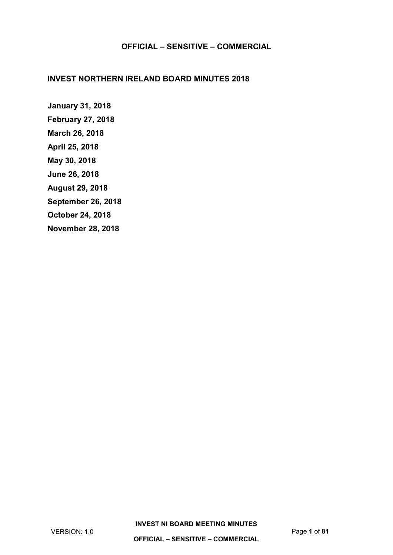### **INVEST NORTHERN IRELAND BOARD MINUTES 2018**

**[January 31, 2018](#page-1-0) [February 27, 2018](#page-9-0) [March 26, 2018](#page-13-0) [April 25, 2018](#page-20-0) [May 30, 2018](#page-31-0) [June 26, 2018](#page-41-0) [August 29, 2018](#page-50-0) [September 26, 2018](#page-58-0) [October 24, 2018](#page-66-0) [November 28, 2018](#page-74-0)**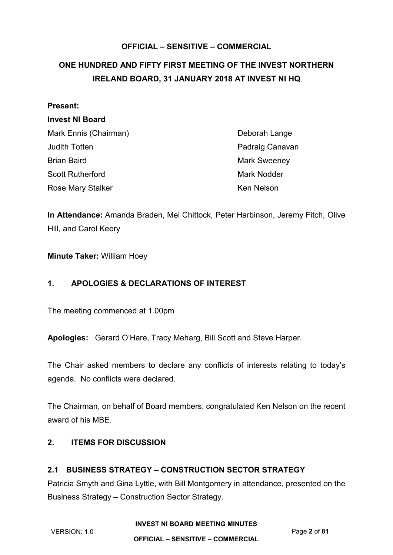# <span id="page-1-0"></span>**ONE HUNDRED AND FIFTY FIRST MEETING OF THE INVEST NORTHERN IRELAND BOARD, 31 JANUARY 2018 AT INVEST NI HQ**

## **Present:**

## **Invest NI Board**

| Mark Ennis (Chairman)   | Deborah Lange       |
|-------------------------|---------------------|
| <b>Judith Totten</b>    | Padraig Canavan     |
| <b>Brian Baird</b>      | <b>Mark Sweeney</b> |
| <b>Scott Rutherford</b> | Mark Nodder         |
| Rose Mary Stalker       | Ken Nelson          |

**In Attendance:** Amanda Braden, Mel Chittock, Peter Harbinson, Jeremy Fitch, Olive Hill, and Carol Keery

**Minute Taker:** William Hoey

# **1. APOLOGIES & DECLARATIONS OF INTEREST**

The meeting commenced at 1.00pm

**Apologies:** Gerard O'Hare, Tracy Meharg, Bill Scott and Steve Harper.

The Chair asked members to declare any conflicts of interests relating to today's agenda. No conflicts were declared.

The Chairman, on behalf of Board members, congratulated Ken Nelson on the recent award of his MBE.

## **2. ITEMS FOR DISCUSSION**

# **2.1 BUSINESS STRATEGY – CONSTRUCTION SECTOR STRATEGY**

Patricia Smyth and Gina Lyttle, with Bill Montgomery in attendance, presented on the Business Strategy – Construction Sector Strategy.

**INVEST NI BOARD MEETING MINUTES**

VERSION: 1.0 Page **2** of **81**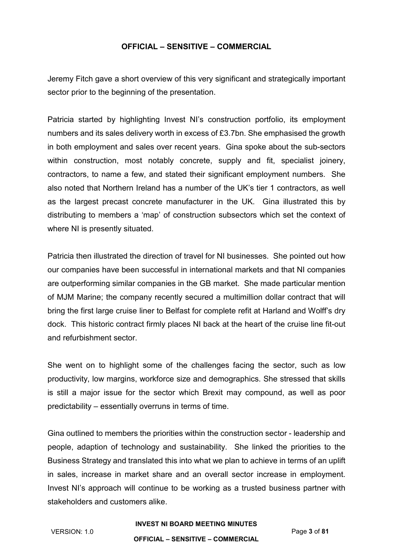Jeremy Fitch gave a short overview of this very significant and strategically important sector prior to the beginning of the presentation.

Patricia started by highlighting Invest NI's construction portfolio, its employment numbers and its sales delivery worth in excess of £3.7bn. She emphasised the growth in both employment and sales over recent years. Gina spoke about the sub-sectors within construction, most notably concrete, supply and fit, specialist joinery, contractors, to name a few, and stated their significant employment numbers. She also noted that Northern Ireland has a number of the UK's tier 1 contractors, as well as the largest precast concrete manufacturer in the UK. Gina illustrated this by distributing to members a 'map' of construction subsectors which set the context of where NI is presently situated.

Patricia then illustrated the direction of travel for NI businesses. She pointed out how our companies have been successful in international markets and that NI companies are outperforming similar companies in the GB market. She made particular mention of MJM Marine; the company recently secured a multimillion dollar contract that will bring the first large cruise liner to Belfast for complete refit at Harland and Wolff's dry dock. This historic contract firmly places NI back at the heart of the cruise line fit-out and refurbishment sector.

She went on to highlight some of the challenges facing the sector, such as low productivity, low margins, workforce size and demographics. She stressed that skills is still a major issue for the sector which Brexit may compound, as well as poor predictability – essentially overruns in terms of time.

Gina outlined to members the priorities within the construction sector - leadership and people, adaption of technology and sustainability. She linked the priorities to the Business Strategy and translated this into what we plan to achieve in terms of an uplift in sales, increase in market share and an overall sector increase in employment. Invest NI's approach will continue to be working as a trusted business partner with stakeholders and customers alike.

#### **INVEST NI BOARD MEETING MINUTES**

VERSION: 1.0 Page **3** of **81**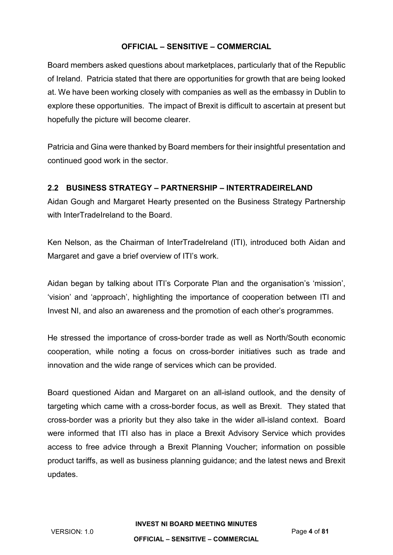Board members asked questions about marketplaces, particularly that of the Republic of Ireland. Patricia stated that there are opportunities for growth that are being looked at. We have been working closely with companies as well as the embassy in Dublin to explore these opportunities. The impact of Brexit is difficult to ascertain at present but hopefully the picture will become clearer.

Patricia and Gina were thanked by Board members for their insightful presentation and continued good work in the sector.

## **2.2 BUSINESS STRATEGY – PARTNERSHIP – INTERTRADEIRELAND**

Aidan Gough and Margaret Hearty presented on the Business Strategy Partnership with InterTradeIreland to the Board.

Ken Nelson, as the Chairman of InterTradeIreland (ITI), introduced both Aidan and Margaret and gave a brief overview of ITI's work.

Aidan began by talking about ITI's Corporate Plan and the organisation's 'mission', 'vision' and 'approach', highlighting the importance of cooperation between ITI and Invest NI, and also an awareness and the promotion of each other's programmes.

He stressed the importance of cross-border trade as well as North/South economic cooperation, while noting a focus on cross-border initiatives such as trade and innovation and the wide range of services which can be provided.

Board questioned Aidan and Margaret on an all-island outlook, and the density of targeting which came with a cross-border focus, as well as Brexit. They stated that cross-border was a priority but they also take in the wider all-island context. Board were informed that ITI also has in place a Brexit Advisory Service which provides access to free advice through a Brexit Planning Voucher; information on possible product tariffs, as well as business planning guidance; and the latest news and Brexit updates.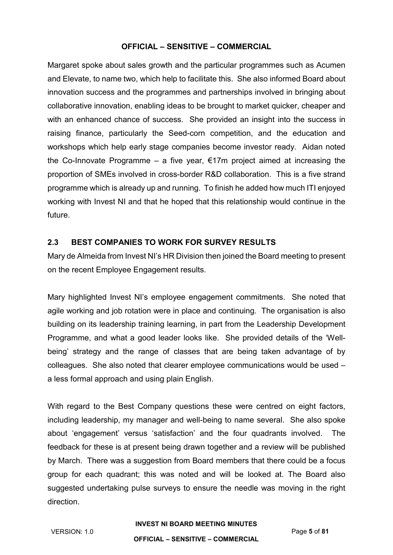Margaret spoke about sales growth and the particular programmes such as Acumen and Elevate, to name two, which help to facilitate this. She also informed Board about innovation success and the programmes and partnerships involved in bringing about collaborative innovation, enabling ideas to be brought to market quicker, cheaper and with an enhanced chance of success. She provided an insight into the success in raising finance, particularly the Seed-corn competition, and the education and workshops which help early stage companies become investor ready. Aidan noted the Co-Innovate Programme – a five year,  $\epsilon$ 17m project aimed at increasing the proportion of SMEs involved in cross-border R&D collaboration. This is a five strand programme which is already up and running. To finish he added how much ITI enjoyed working with Invest NI and that he hoped that this relationship would continue in the future.

## **2.3 BEST COMPANIES TO WORK FOR SURVEY RESULTS**

Mary de Almeida from Invest NI's HR Division then joined the Board meeting to present on the recent Employee Engagement results.

Mary highlighted Invest NI's employee engagement commitments. She noted that agile working and job rotation were in place and continuing. The organisation is also building on its leadership training learning, in part from the Leadership Development Programme, and what a good leader looks like. She provided details of the 'Wellbeing' strategy and the range of classes that are being taken advantage of by colleagues. She also noted that clearer employee communications would be used – a less formal approach and using plain English.

With regard to the Best Company questions these were centred on eight factors, including leadership, my manager and well-being to name several. She also spoke about 'engagement' versus 'satisfaction' and the four quadrants involved. The feedback for these is at present being drawn together and a review will be published by March. There was a suggestion from Board members that there could be a focus group for each quadrant; this was noted and will be looked at. The Board also suggested undertaking pulse surveys to ensure the needle was moving in the right direction.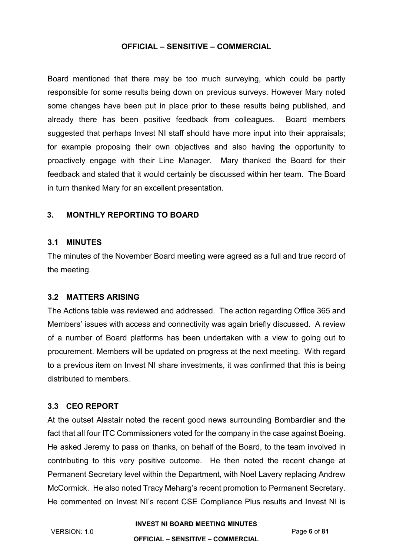Board mentioned that there may be too much surveying, which could be partly responsible for some results being down on previous surveys. However Mary noted some changes have been put in place prior to these results being published, and already there has been positive feedback from colleagues. Board members suggested that perhaps Invest NI staff should have more input into their appraisals; for example proposing their own objectives and also having the opportunity to proactively engage with their Line Manager. Mary thanked the Board for their feedback and stated that it would certainly be discussed within her team. The Board in turn thanked Mary for an excellent presentation.

## **3. MONTHLY REPORTING TO BOARD**

#### **3.1 MINUTES**

The minutes of the November Board meeting were agreed as a full and true record of the meeting.

## **3.2 MATTERS ARISING**

The Actions table was reviewed and addressed. The action regarding Office 365 and Members' issues with access and connectivity was again briefly discussed. A review of a number of Board platforms has been undertaken with a view to going out to procurement. Members will be updated on progress at the next meeting. With regard to a previous item on Invest NI share investments, it was confirmed that this is being distributed to members.

## **3.3 CEO REPORT**

At the outset Alastair noted the recent good news surrounding Bombardier and the fact that all four ITC Commissioners voted for the company in the case against Boeing. He asked Jeremy to pass on thanks, on behalf of the Board, to the team involved in contributing to this very positive outcome. He then noted the recent change at Permanent Secretary level within the Department, with Noel Lavery replacing Andrew McCormick. He also noted Tracy Meharg's recent promotion to Permanent Secretary. He commented on Invest NI's recent CSE Compliance Plus results and Invest NI is

#### **INVEST NI BOARD MEETING MINUTES**

VERSION: 1.0 Page **6** of **81**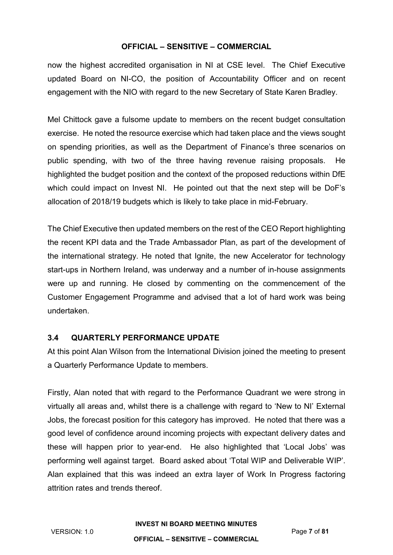now the highest accredited organisation in NI at CSE level. The Chief Executive updated Board on NI-CO, the position of Accountability Officer and on recent engagement with the NIO with regard to the new Secretary of State Karen Bradley.

Mel Chittock gave a fulsome update to members on the recent budget consultation exercise. He noted the resource exercise which had taken place and the views sought on spending priorities, as well as the Department of Finance's three scenarios on public spending, with two of the three having revenue raising proposals. He highlighted the budget position and the context of the proposed reductions within DfE which could impact on Invest NI. He pointed out that the next step will be DoF's allocation of 2018/19 budgets which is likely to take place in mid-February.

The Chief Executive then updated members on the rest of the CEO Report highlighting the recent KPI data and the Trade Ambassador Plan, as part of the development of the international strategy. He noted that Ignite, the new Accelerator for technology start-ups in Northern Ireland, was underway and a number of in-house assignments were up and running. He closed by commenting on the commencement of the Customer Engagement Programme and advised that a lot of hard work was being undertaken.

# **3.4 QUARTERLY PERFORMANCE UPDATE**

At this point Alan Wilson from the International Division joined the meeting to present a Quarterly Performance Update to members.

Firstly, Alan noted that with regard to the Performance Quadrant we were strong in virtually all areas and, whilst there is a challenge with regard to 'New to NI' External Jobs, the forecast position for this category has improved. He noted that there was a good level of confidence around incoming projects with expectant delivery dates and these will happen prior to year-end. He also highlighted that 'Local Jobs' was performing well against target. Board asked about 'Total WIP and Deliverable WIP'. Alan explained that this was indeed an extra layer of Work In Progress factoring attrition rates and trends thereof.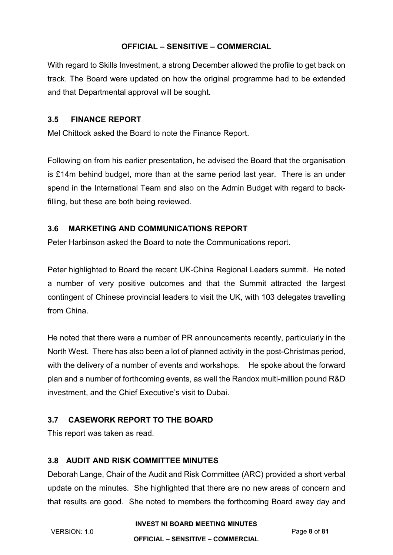With regard to Skills Investment, a strong December allowed the profile to get back on track. The Board were updated on how the original programme had to be extended and that Departmental approval will be sought.

## **3.5 FINANCE REPORT**

Mel Chittock asked the Board to note the Finance Report.

Following on from his earlier presentation, he advised the Board that the organisation is £14m behind budget, more than at the same period last year. There is an under spend in the International Team and also on the Admin Budget with regard to backfilling, but these are both being reviewed.

# **3.6 MARKETING AND COMMUNICATIONS REPORT**

Peter Harbinson asked the Board to note the Communications report.

Peter highlighted to Board the recent UK-China Regional Leaders summit. He noted a number of very positive outcomes and that the Summit attracted the largest contingent of Chinese provincial leaders to visit the UK, with 103 delegates travelling from China.

He noted that there were a number of PR announcements recently, particularly in the North West. There has also been a lot of planned activity in the post-Christmas period, with the delivery of a number of events and workshops. He spoke about the forward plan and a number of forthcoming events, as well the Randox multi-million pound R&D investment, and the Chief Executive's visit to Dubai.

# **3.7 CASEWORK REPORT TO THE BOARD**

This report was taken as read.

# **3.8 AUDIT AND RISK COMMITTEE MINUTES**

Deborah Lange, Chair of the Audit and Risk Committee (ARC) provided a short verbal update on the minutes. She highlighted that there are no new areas of concern and that results are good. She noted to members the forthcoming Board away day and

#### **INVEST NI BOARD MEETING MINUTES**

VERSION: 1.0 Page **8** of **81**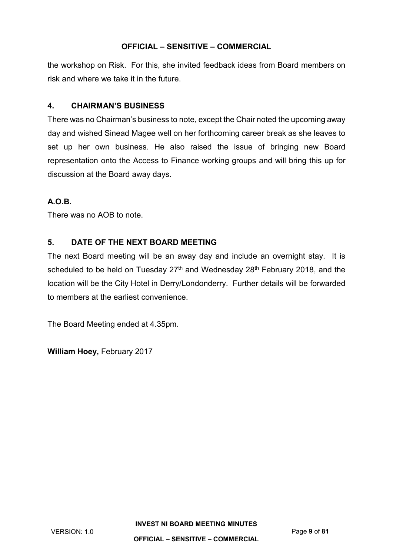the workshop on Risk. For this, she invited feedback ideas from Board members on risk and where we take it in the future.

# **4. CHAIRMAN'S BUSINESS**

There was no Chairman's business to note, except the Chair noted the upcoming away day and wished Sinead Magee well on her forthcoming career break as she leaves to set up her own business. He also raised the issue of bringing new Board representation onto the Access to Finance working groups and will bring this up for discussion at the Board away days.

# **A.O.B.**

There was no AOB to note.

# **5. DATE OF THE NEXT BOARD MEETING**

The next Board meeting will be an away day and include an overnight stay. It is scheduled to be held on Tuesday  $27<sup>th</sup>$  and Wednesday  $28<sup>th</sup>$  February 2018, and the location will be the City Hotel in Derry/Londonderry. Further details will be forwarded to members at the earliest convenience.

The Board Meeting ended at 4.35pm.

**William Hoey,** February 2017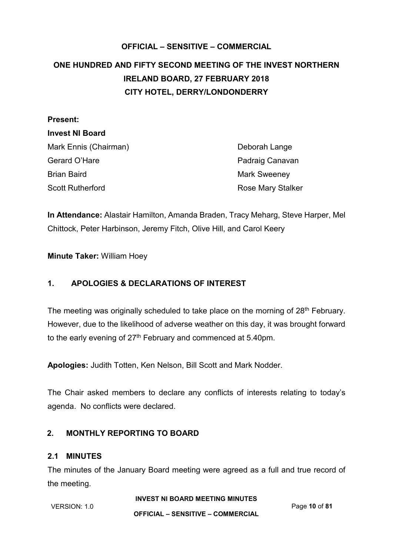# <span id="page-9-0"></span>**OFFICIAL – SENSITIVE – COMMERCIAL ONE HUNDRED AND FIFTY SECOND MEETING OF THE INVEST NORTHERN IRELAND BOARD, 27 FEBRUARY 2018 CITY HOTEL, DERRY/LONDONDERRY**

| Deborah Lange            |
|--------------------------|
| Padraig Canavan          |
| <b>Mark Sweeney</b>      |
| <b>Rose Mary Stalker</b> |
|                          |

**In Attendance:** Alastair Hamilton, Amanda Braden, Tracy Meharg, Steve Harper, Mel Chittock, Peter Harbinson, Jeremy Fitch, Olive Hill, and Carol Keery

**Minute Taker:** William Hoey

# **1. APOLOGIES & DECLARATIONS OF INTEREST**

The meeting was originally scheduled to take place on the morning of 28<sup>th</sup> February. However, due to the likelihood of adverse weather on this day, it was brought forward to the early evening of  $27<sup>th</sup>$  February and commenced at 5.40pm.

**Apologies:** Judith Totten, Ken Nelson, Bill Scott and Mark Nodder.

The Chair asked members to declare any conflicts of interests relating to today's agenda. No conflicts were declared.

# **2. MONTHLY REPORTING TO BOARD**

# **2.1 MINUTES**

The minutes of the January Board meeting were agreed as a full and true record of the meeting.

**INVEST NI BOARD MEETING MINUTES**

VERSION: 1.0 Page **10** of **81**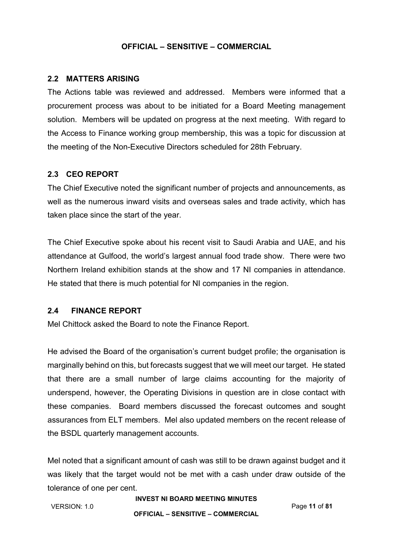## **2.2 MATTERS ARISING**

The Actions table was reviewed and addressed. Members were informed that a procurement process was about to be initiated for a Board Meeting management solution. Members will be updated on progress at the next meeting. With regard to the Access to Finance working group membership, this was a topic for discussion at the meeting of the Non-Executive Directors scheduled for 28th February.

## **2.3 CEO REPORT**

The Chief Executive noted the significant number of projects and announcements, as well as the numerous inward visits and overseas sales and trade activity, which has taken place since the start of the year.

The Chief Executive spoke about his recent visit to Saudi Arabia and UAE, and his attendance at Gulfood, the world's largest annual food trade show. There were two Northern Ireland exhibition stands at the show and 17 NI companies in attendance. He stated that there is much potential for NI companies in the region.

## **2.4 FINANCE REPORT**

Mel Chittock asked the Board to note the Finance Report.

He advised the Board of the organisation's current budget profile; the organisation is marginally behind on this, but forecasts suggest that we will meet our target. He stated that there are a small number of large claims accounting for the majority of underspend, however, the Operating Divisions in question are in close contact with these companies. Board members discussed the forecast outcomes and sought assurances from ELT members. Mel also updated members on the recent release of the BSDL quarterly management accounts.

Mel noted that a significant amount of cash was still to be drawn against budget and it was likely that the target would not be met with a cash under draw outside of the tolerance of one per cent.

### **INVEST NI BOARD MEETING MINUTES**

VERSION: 1.0 Page **11** of **81**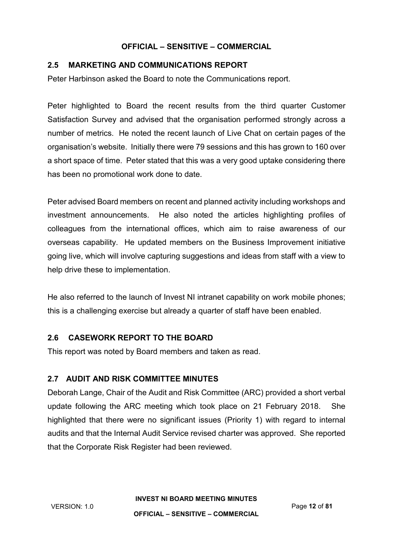## **2.5 MARKETING AND COMMUNICATIONS REPORT**

Peter Harbinson asked the Board to note the Communications report.

Peter highlighted to Board the recent results from the third quarter Customer Satisfaction Survey and advised that the organisation performed strongly across a number of metrics. He noted the recent launch of Live Chat on certain pages of the organisation's website. Initially there were 79 sessions and this has grown to 160 over a short space of time. Peter stated that this was a very good uptake considering there has been no promotional work done to date.

Peter advised Board members on recent and planned activity including workshops and investment announcements. He also noted the articles highlighting profiles of colleagues from the international offices, which aim to raise awareness of our overseas capability. He updated members on the Business Improvement initiative going live, which will involve capturing suggestions and ideas from staff with a view to help drive these to implementation.

He also referred to the launch of Invest NI intranet capability on work mobile phones; this is a challenging exercise but already a quarter of staff have been enabled.

## **2.6 CASEWORK REPORT TO THE BOARD**

This report was noted by Board members and taken as read.

## **2.7 AUDIT AND RISK COMMITTEE MINUTES**

Deborah Lange, Chair of the Audit and Risk Committee (ARC) provided a short verbal update following the ARC meeting which took place on 21 February 2018. She highlighted that there were no significant issues (Priority 1) with regard to internal audits and that the Internal Audit Service revised charter was approved. She reported that the Corporate Risk Register had been reviewed.

**INVEST NI BOARD MEETING MINUTES**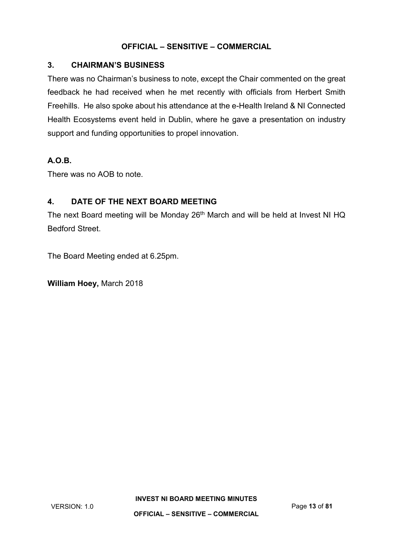## **3. CHAIRMAN'S BUSINESS**

There was no Chairman's business to note, except the Chair commented on the great feedback he had received when he met recently with officials from Herbert Smith Freehills. He also spoke about his attendance at the e-Health Ireland & NI Connected Health Ecosystems event held in Dublin, where he gave a presentation on industry support and funding opportunities to propel innovation.

# **A.O.B.**

There was no AOB to note.

# **4. DATE OF THE NEXT BOARD MEETING**

The next Board meeting will be Monday 26<sup>th</sup> March and will be held at Invest NI HQ Bedford Street.

The Board Meeting ended at 6.25pm.

**William Hoey,** March 2018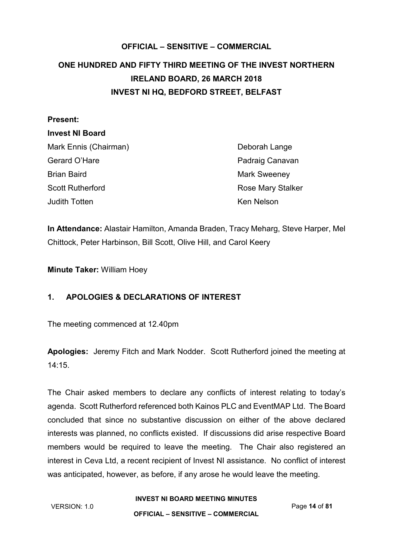# <span id="page-13-0"></span>**OFFICIAL – SENSITIVE – COMMERCIAL ONE HUNDRED AND FIFTY THIRD MEETING OF THE INVEST NORTHERN IRELAND BOARD, 26 MARCH 2018 INVEST NI HQ, BEDFORD STREET, BELFAST**

# **Present: Invest NI Board** Mark Ennis (Chairman) Deborah Lange Gerard O'Hare **Padraig Canavan** Brian Baird Mark Sweeney Scott Rutherford **Rose Mary Stalker** Rose Mary Stalker Judith Totten **Ken Nelson** Ken Nelson

**In Attendance:** Alastair Hamilton, Amanda Braden, Tracy Meharg, Steve Harper, Mel Chittock, Peter Harbinson, Bill Scott, Olive Hill, and Carol Keery

**Minute Taker:** William Hoey

# **1. APOLOGIES & DECLARATIONS OF INTEREST**

The meeting commenced at 12.40pm

**Apologies:** Jeremy Fitch and Mark Nodder. Scott Rutherford joined the meeting at 14:15.

The Chair asked members to declare any conflicts of interest relating to today's agenda. Scott Rutherford referenced both Kainos PLC and EventMAP Ltd. The Board concluded that since no substantive discussion on either of the above declared interests was planned, no conflicts existed. If discussions did arise respective Board members would be required to leave the meeting. The Chair also registered an interest in Ceva Ltd, a recent recipient of Invest NI assistance. No conflict of interest was anticipated, however, as before, if any arose he would leave the meeting.

**INVEST NI BOARD MEETING MINUTES**

**OFFICIAL – SENSITIVE – COMMERCIAL**

VERSION: 1.0 Page **14** of **81**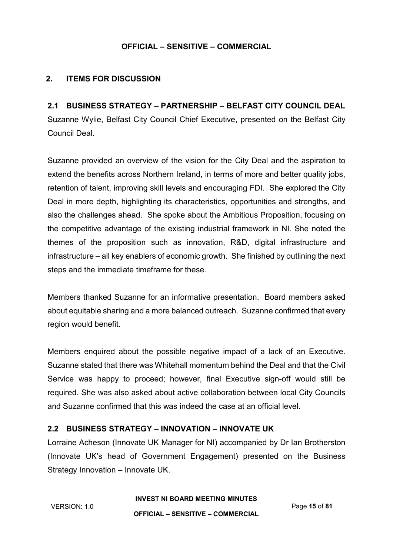# **2. ITEMS FOR DISCUSSION**

**2.1 BUSINESS STRATEGY – PARTNERSHIP – BELFAST CITY COUNCIL DEAL** Suzanne Wylie, Belfast City Council Chief Executive, presented on the Belfast City Council Deal.

Suzanne provided an overview of the vision for the City Deal and the aspiration to extend the benefits across Northern Ireland, in terms of more and better quality jobs, retention of talent, improving skill levels and encouraging FDI. She explored the City Deal in more depth, highlighting its characteristics, opportunities and strengths, and also the challenges ahead. She spoke about the Ambitious Proposition, focusing on the competitive advantage of the existing industrial framework in NI. She noted the themes of the proposition such as innovation, R&D, digital infrastructure and infrastructure – all key enablers of economic growth. She finished by outlining the next steps and the immediate timeframe for these.

Members thanked Suzanne for an informative presentation. Board members asked about equitable sharing and a more balanced outreach. Suzanne confirmed that every region would benefit.

Members enquired about the possible negative impact of a lack of an Executive. Suzanne stated that there was Whitehall momentum behind the Deal and that the Civil Service was happy to proceed; however, final Executive sign-off would still be required. She was also asked about active collaboration between local City Councils and Suzanne confirmed that this was indeed the case at an official level.

## **2.2 BUSINESS STRATEGY – INNOVATION – INNOVATE UK**

Lorraine Acheson (Innovate UK Manager for NI) accompanied by Dr Ian Brotherston (Innovate UK's head of Government Engagement) presented on the Business Strategy Innovation – Innovate UK.

**INVEST NI BOARD MEETING MINUTES**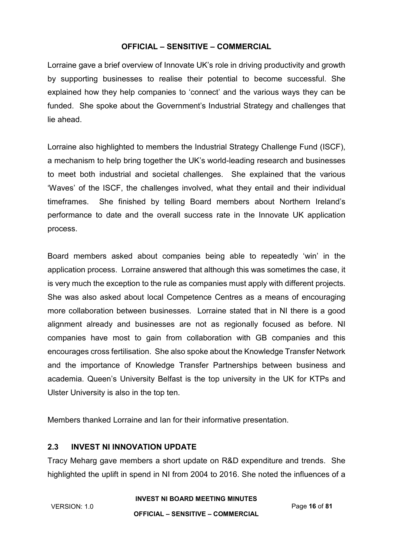Lorraine gave a brief overview of Innovate UK's role in driving productivity and growth by supporting businesses to realise their potential to become successful. She explained how they help companies to 'connect' and the various ways they can be funded. She spoke about the Government's Industrial Strategy and challenges that lie ahead.

Lorraine also highlighted to members the Industrial Strategy Challenge Fund (ISCF), a mechanism to help bring together the UK's world-leading research and businesses to meet both industrial and societal challenges. She explained that the various 'Waves' of the ISCF, the challenges involved, what they entail and their individual timeframes. She finished by telling Board members about Northern Ireland's performance to date and the overall success rate in the Innovate UK application process.

Board members asked about companies being able to repeatedly 'win' in the application process. Lorraine answered that although this was sometimes the case, it is very much the exception to the rule as companies must apply with different projects. She was also asked about local Competence Centres as a means of encouraging more collaboration between businesses. Lorraine stated that in NI there is a good alignment already and businesses are not as regionally focused as before. NI companies have most to gain from collaboration with GB companies and this encourages cross fertilisation. She also spoke about the Knowledge Transfer Network and the importance of Knowledge Transfer Partnerships between business and academia. Queen's University Belfast is the top university in the UK for KTPs and Ulster University is also in the top ten.

Members thanked Lorraine and Ian for their informative presentation.

## **2.3 INVEST NI INNOVATION UPDATE**

Tracy Meharg gave members a short update on R&D expenditure and trends. She highlighted the uplift in spend in NI from 2004 to 2016. She noted the influences of a

#### **INVEST NI BOARD MEETING MINUTES**

VERSION: 1.0 Page **16** of **81**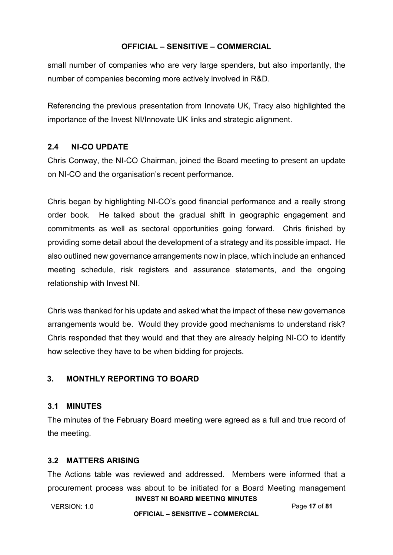small number of companies who are very large spenders, but also importantly, the number of companies becoming more actively involved in R&D.

Referencing the previous presentation from Innovate UK, Tracy also highlighted the importance of the Invest NI/Innovate UK links and strategic alignment.

# **2.4 NI-CO UPDATE**

Chris Conway, the NI-CO Chairman, joined the Board meeting to present an update on NI-CO and the organisation's recent performance.

Chris began by highlighting NI-CO's good financial performance and a really strong order book. He talked about the gradual shift in geographic engagement and commitments as well as sectoral opportunities going forward. Chris finished by providing some detail about the development of a strategy and its possible impact. He also outlined new governance arrangements now in place, which include an enhanced meeting schedule, risk registers and assurance statements, and the ongoing relationship with Invest NI.

Chris was thanked for his update and asked what the impact of these new governance arrangements would be. Would they provide good mechanisms to understand risk? Chris responded that they would and that they are already helping NI-CO to identify how selective they have to be when bidding for projects.

# **3. MONTHLY REPORTING TO BOARD**

# **3.1 MINUTES**

The minutes of the February Board meeting were agreed as a full and true record of the meeting.

# **3.2 MATTERS ARISING**

The Actions table was reviewed and addressed. Members were informed that a procurement process was about to be initiated for a Board Meeting management

**INVEST NI BOARD MEETING MINUTES** VERSION: 1.0 Page **17** of **81**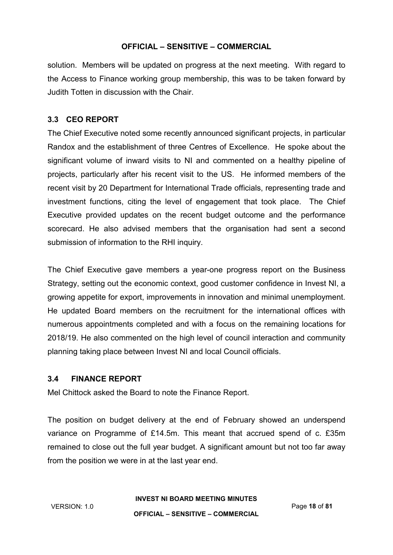solution. Members will be updated on progress at the next meeting. With regard to the Access to Finance working group membership, this was to be taken forward by Judith Totten in discussion with the Chair.

# **3.3 CEO REPORT**

The Chief Executive noted some recently announced significant projects, in particular Randox and the establishment of three Centres of Excellence. He spoke about the significant volume of inward visits to NI and commented on a healthy pipeline of projects, particularly after his recent visit to the US. He informed members of the recent visit by 20 Department for International Trade officials, representing trade and investment functions, citing the level of engagement that took place. The Chief Executive provided updates on the recent budget outcome and the performance scorecard. He also advised members that the organisation had sent a second submission of information to the RHI inquiry.

The Chief Executive gave members a year-one progress report on the Business Strategy, setting out the economic context, good customer confidence in Invest NI, a growing appetite for export, improvements in innovation and minimal unemployment. He updated Board members on the recruitment for the international offices with numerous appointments completed and with a focus on the remaining locations for 2018/19. He also commented on the high level of council interaction and community planning taking place between Invest NI and local Council officials.

# **3.4 FINANCE REPORT**

Mel Chittock asked the Board to note the Finance Report.

The position on budget delivery at the end of February showed an underspend variance on Programme of £14.5m. This meant that accrued spend of c. £35m remained to close out the full year budget. A significant amount but not too far away from the position we were in at the last year end.

#### **INVEST NI BOARD MEETING MINUTES**

VERSION: 1.0 Page **18** of **81**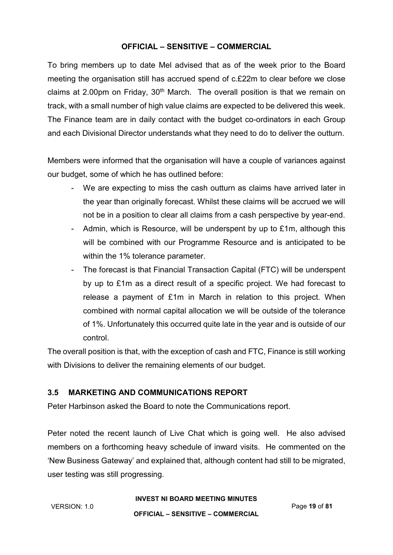To bring members up to date Mel advised that as of the week prior to the Board meeting the organisation still has accrued spend of c.£22m to clear before we close claims at 2.00pm on Friday,  $30<sup>th</sup>$  March. The overall position is that we remain on track, with a small number of high value claims are expected to be delivered this week. The Finance team are in daily contact with the budget co-ordinators in each Group and each Divisional Director understands what they need to do to deliver the outturn.

Members were informed that the organisation will have a couple of variances against our budget, some of which he has outlined before:

- We are expecting to miss the cash outturn as claims have arrived later in the year than originally forecast. Whilst these claims will be accrued we will not be in a position to clear all claims from a cash perspective by year-end.
- Admin, which is Resource, will be underspent by up to £1m, although this will be combined with our Programme Resource and is anticipated to be within the 1% tolerance parameter.
- The forecast is that Financial Transaction Capital (FTC) will be underspent by up to £1m as a direct result of a specific project. We had forecast to release a payment of £1m in March in relation to this project. When combined with normal capital allocation we will be outside of the tolerance of 1%. Unfortunately this occurred quite late in the year and is outside of our control.

The overall position is that, with the exception of cash and FTC, Finance is still working with Divisions to deliver the remaining elements of our budget.

# **3.5 MARKETING AND COMMUNICATIONS REPORT**

Peter Harbinson asked the Board to note the Communications report.

Peter noted the recent launch of Live Chat which is going well. He also advised members on a forthcoming heavy schedule of inward visits. He commented on the 'New Business Gateway' and explained that, although content had still to be migrated, user testing was still progressing.

#### **INVEST NI BOARD MEETING MINUTES**

VERSION: 1.0 Page **19** of **81**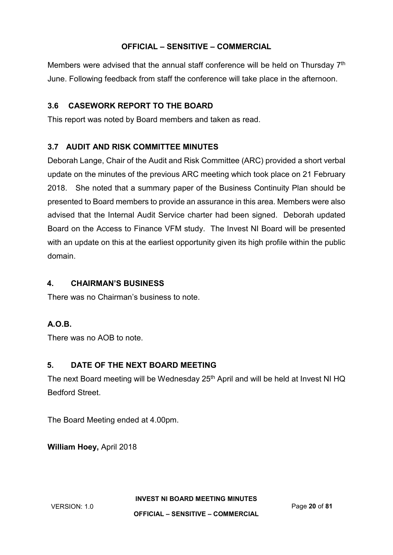Members were advised that the annual staff conference will be held on Thursday  $7<sup>th</sup>$ June. Following feedback from staff the conference will take place in the afternoon.

# **3.6 CASEWORK REPORT TO THE BOARD**

This report was noted by Board members and taken as read.

# **3.7 AUDIT AND RISK COMMITTEE MINUTES**

Deborah Lange, Chair of the Audit and Risk Committee (ARC) provided a short verbal update on the minutes of the previous ARC meeting which took place on 21 February 2018. She noted that a summary paper of the Business Continuity Plan should be presented to Board members to provide an assurance in this area. Members were also advised that the Internal Audit Service charter had been signed. Deborah updated Board on the Access to Finance VFM study. The Invest NI Board will be presented with an update on this at the earliest opportunity given its high profile within the public domain.

# **4. CHAIRMAN'S BUSINESS**

There was no Chairman's business to note.

# **A.O.B.**

There was no AOB to note.

# **5. DATE OF THE NEXT BOARD MEETING**

The next Board meeting will be Wednesday 25<sup>th</sup> April and will be held at Invest NI HQ Bedford Street.

The Board Meeting ended at 4.00pm.

**William Hoey,** April 2018

**INVEST NI BOARD MEETING MINUTES**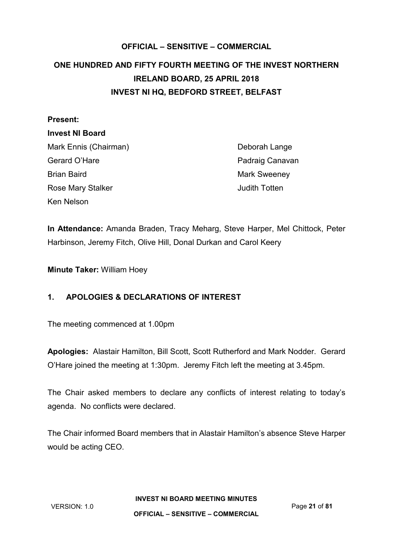# <span id="page-20-0"></span>**OFFICIAL – SENSITIVE – COMMERCIAL ONE HUNDRED AND FIFTY FOURTH MEETING OF THE INVEST NORTHERN IRELAND BOARD, 25 APRIL 2018 INVEST NI HQ, BEDFORD STREET, BELFAST**

| <b>Present:</b>        |  |
|------------------------|--|
| <b>Invest NI Board</b> |  |
| Mark Ennis (Chairman)  |  |
| Gerard O'Hare          |  |
| Brian Baird            |  |
| Rose Mary Stalker      |  |
| Ken Nelson             |  |

Deborah Lange Padraig Canavan Mark Sweeney **Judith Totten** 

**In Attendance:** Amanda Braden, Tracy Meharg, Steve Harper, Mel Chittock, Peter Harbinson, Jeremy Fitch, Olive Hill, Donal Durkan and Carol Keery

**Minute Taker:** William Hoey

# **1. APOLOGIES & DECLARATIONS OF INTEREST**

The meeting commenced at 1.00pm

**Apologies:** Alastair Hamilton, Bill Scott, Scott Rutherford and Mark Nodder. Gerard O'Hare joined the meeting at 1:30pm. Jeremy Fitch left the meeting at 3.45pm.

The Chair asked members to declare any conflicts of interest relating to today's agenda. No conflicts were declared.

The Chair informed Board members that in Alastair Hamilton's absence Steve Harper would be acting CEO.

**INVEST NI BOARD MEETING MINUTES**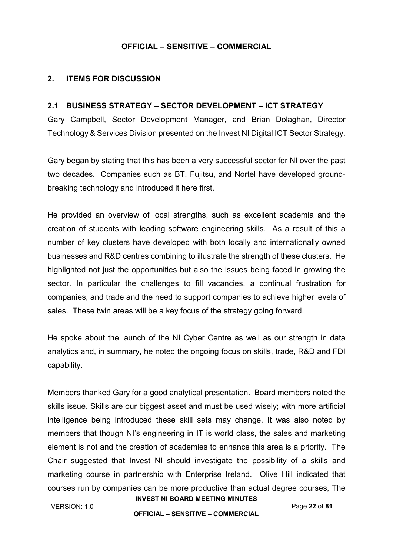### **2. ITEMS FOR DISCUSSION**

#### **2.1 BUSINESS STRATEGY – SECTOR DEVELOPMENT – ICT STRATEGY**

Gary Campbell, Sector Development Manager, and Brian Dolaghan, Director Technology & Services Division presented on the Invest NI Digital ICT Sector Strategy.

Gary began by stating that this has been a very successful sector for NI over the past two decades. Companies such as BT, Fujitsu, and Nortel have developed groundbreaking technology and introduced it here first.

He provided an overview of local strengths, such as excellent academia and the creation of students with leading software engineering skills. As a result of this a number of key clusters have developed with both locally and internationally owned businesses and R&D centres combining to illustrate the strength of these clusters. He highlighted not just the opportunities but also the issues being faced in growing the sector. In particular the challenges to fill vacancies, a continual frustration for companies, and trade and the need to support companies to achieve higher levels of sales. These twin areas will be a key focus of the strategy going forward.

He spoke about the launch of the NI Cyber Centre as well as our strength in data analytics and, in summary, he noted the ongoing focus on skills, trade, R&D and FDI capability.

**INVEST NI BOARD MEETING MINUTES** Members thanked Gary for a good analytical presentation. Board members noted the skills issue. Skills are our biggest asset and must be used wisely; with more artificial intelligence being introduced these skill sets may change. It was also noted by members that though NI's engineering in IT is world class, the sales and marketing element is not and the creation of academies to enhance this area is a priority. The Chair suggested that Invest NI should investigate the possibility of a skills and marketing course in partnership with Enterprise Ireland. Olive Hill indicated that courses run by companies can be more productive than actual degree courses, The

VERSION: 1.0 Page **22** of **81**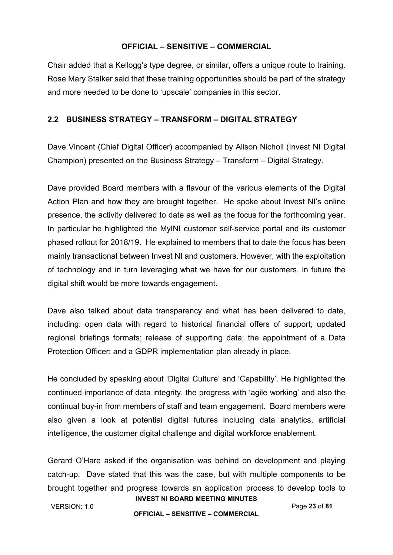Chair added that a Kellogg's type degree, or similar, offers a unique route to training. Rose Mary Stalker said that these training opportunities should be part of the strategy and more needed to be done to 'upscale' companies in this sector.

# **2.2 BUSINESS STRATEGY – TRANSFORM – DIGITAL STRATEGY**

Dave Vincent (Chief Digital Officer) accompanied by Alison Nicholl (Invest NI Digital Champion) presented on the Business Strategy – Transform – Digital Strategy.

Dave provided Board members with a flavour of the various elements of the Digital Action Plan and how they are brought together. He spoke about Invest NI's online presence, the activity delivered to date as well as the focus for the forthcoming year. In particular he highlighted the MyINI customer self-service portal and its customer phased rollout for 2018/19. He explained to members that to date the focus has been mainly transactional between Invest NI and customers. However, with the exploitation of technology and in turn leveraging what we have for our customers, in future the digital shift would be more towards engagement.

Dave also talked about data transparency and what has been delivered to date, including: open data with regard to historical financial offers of support; updated regional briefings formats; release of supporting data; the appointment of a Data Protection Officer; and a GDPR implementation plan already in place.

He concluded by speaking about 'Digital Culture' and 'Capability'. He highlighted the continued importance of data integrity, the progress with 'agile working' and also the continual buy-in from members of staff and team engagement. Board members were also given a look at potential digital futures including data analytics, artificial intelligence, the customer digital challenge and digital workforce enablement.

Gerard O'Hare asked if the organisation was behind on development and playing catch-up. Dave stated that this was the case, but with multiple components to be brought together and progress towards an application process to develop tools to

**INVEST NI BOARD MEETING MINUTES** VERSION: 1.0 Page **23** of **81**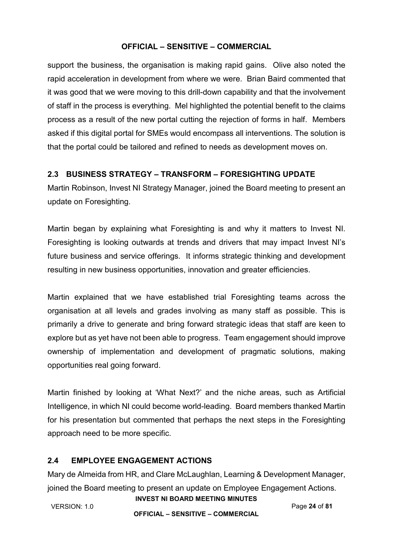support the business, the organisation is making rapid gains. Olive also noted the rapid acceleration in development from where we were. Brian Baird commented that it was good that we were moving to this drill-down capability and that the involvement of staff in the process is everything. Mel highlighted the potential benefit to the claims process as a result of the new portal cutting the rejection of forms in half. Members asked if this digital portal for SMEs would encompass all interventions. The solution is that the portal could be tailored and refined to needs as development moves on.

# **2.3 BUSINESS STRATEGY – TRANSFORM – FORESIGHTING UPDATE**

Martin Robinson, Invest NI Strategy Manager, joined the Board meeting to present an update on Foresighting.

Martin began by explaining what Foresighting is and why it matters to Invest NI. Foresighting is looking outwards at trends and drivers that may impact Invest NI's future business and service offerings. It informs strategic thinking and development resulting in new business opportunities, innovation and greater efficiencies.

Martin explained that we have established trial Foresighting teams across the organisation at all levels and grades involving as many staff as possible. This is primarily a drive to generate and bring forward strategic ideas that staff are keen to explore but as yet have not been able to progress. Team engagement should improve ownership of implementation and development of pragmatic solutions, making opportunities real going forward.

Martin finished by looking at 'What Next?' and the niche areas, such as Artificial Intelligence, in which NI could become world-leading. Board members thanked Martin for his presentation but commented that perhaps the next steps in the Foresighting approach need to be more specific.

# **2.4 EMPLOYEE ENGAGEMENT ACTIONS**

Mary de Almeida from HR, and Clare McLaughlan, Learning & Development Manager, joined the Board meeting to present an update on Employee Engagement Actions.

VERSION: 1.0 Page **24** of **81**

**INVEST NI BOARD MEETING MINUTES**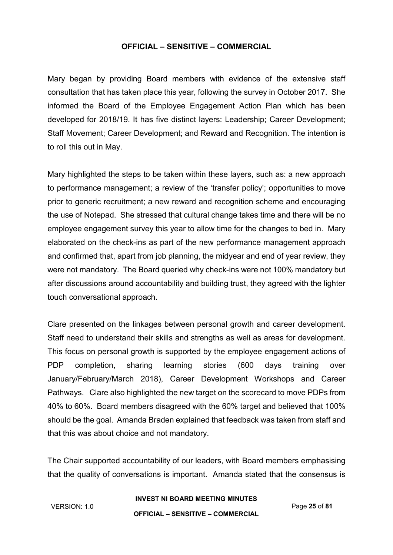Mary began by providing Board members with evidence of the extensive staff consultation that has taken place this year, following the survey in October 2017. She informed the Board of the Employee Engagement Action Plan which has been developed for 2018/19. It has five distinct layers: Leadership; Career Development; Staff Movement; Career Development; and Reward and Recognition. The intention is to roll this out in May.

Mary highlighted the steps to be taken within these layers, such as: a new approach to performance management; a review of the 'transfer policy'; opportunities to move prior to generic recruitment; a new reward and recognition scheme and encouraging the use of Notepad. She stressed that cultural change takes time and there will be no employee engagement survey this year to allow time for the changes to bed in. Mary elaborated on the check-ins as part of the new performance management approach and confirmed that, apart from job planning, the midyear and end of year review, they were not mandatory. The Board queried why check-ins were not 100% mandatory but after discussions around accountability and building trust, they agreed with the lighter touch conversational approach.

Clare presented on the linkages between personal growth and career development. Staff need to understand their skills and strengths as well as areas for development. This focus on personal growth is supported by the employee engagement actions of PDP completion, sharing learning stories (600 days training over January/February/March 2018), Career Development Workshops and Career Pathways. Clare also highlighted the new target on the scorecard to move PDPs from 40% to 60%. Board members disagreed with the 60% target and believed that 100% should be the goal. Amanda Braden explained that feedback was taken from staff and that this was about choice and not mandatory.

The Chair supported accountability of our leaders, with Board members emphasising that the quality of conversations is important. Amanda stated that the consensus is

#### **INVEST NI BOARD MEETING MINUTES**

VERSION: 1.0 Page **25** of **81**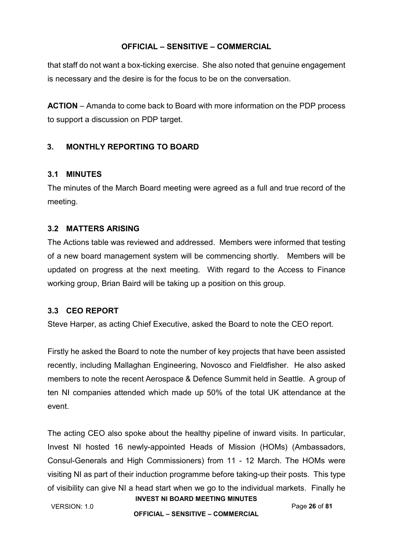that staff do not want a box-ticking exercise. She also noted that genuine engagement is necessary and the desire is for the focus to be on the conversation.

**ACTION** – Amanda to come back to Board with more information on the PDP process to support a discussion on PDP target.

# **3. MONTHLY REPORTING TO BOARD**

# **3.1 MINUTES**

The minutes of the March Board meeting were agreed as a full and true record of the meeting.

## **3.2 MATTERS ARISING**

The Actions table was reviewed and addressed. Members were informed that testing of a new board management system will be commencing shortly. Members will be updated on progress at the next meeting. With regard to the Access to Finance working group, Brian Baird will be taking up a position on this group.

# **3.3 CEO REPORT**

Steve Harper, as acting Chief Executive, asked the Board to note the CEO report.

Firstly he asked the Board to note the number of key projects that have been assisted recently, including Mallaghan Engineering, Novosco and Fieldfisher. He also asked members to note the recent Aerospace & Defence Summit held in Seattle. A group of ten NI companies attended which made up 50% of the total UK attendance at the event.

The acting CEO also spoke about the healthy pipeline of inward visits. In particular, Invest NI hosted 16 newly-appointed Heads of Mission (HOMs) (Ambassadors, Consul-Generals and High Commissioners) from 11 - 12 March. The HOMs were visiting NI as part of their induction programme before taking-up their posts. This type of visibility can give NI a head start when we go to the individual markets. Finally he

**INVEST NI BOARD MEETING MINUTES** VERSION: 1.0 Page **26** of **81**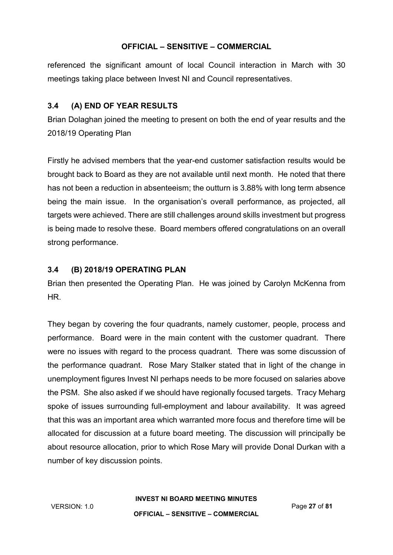referenced the significant amount of local Council interaction in March with 30 meetings taking place between Invest NI and Council representatives.

# **3.4 (A) END OF YEAR RESULTS**

Brian Dolaghan joined the meeting to present on both the end of year results and the 2018/19 Operating Plan

Firstly he advised members that the year-end customer satisfaction results would be brought back to Board as they are not available until next month. He noted that there has not been a reduction in absenteeism; the outturn is 3.88% with long term absence being the main issue. In the organisation's overall performance, as projected, all targets were achieved. There are still challenges around skills investment but progress is being made to resolve these. Board members offered congratulations on an overall strong performance.

# **3.4 (B) 2018/19 OPERATING PLAN**

Brian then presented the Operating Plan. He was joined by Carolyn McKenna from HR.

They began by covering the four quadrants, namely customer, people, process and performance. Board were in the main content with the customer quadrant. There were no issues with regard to the process quadrant. There was some discussion of the performance quadrant. Rose Mary Stalker stated that in light of the change in unemployment figures Invest NI perhaps needs to be more focused on salaries above the PSM. She also asked if we should have regionally focused targets. Tracy Meharg spoke of issues surrounding full-employment and labour availability. It was agreed that this was an important area which warranted more focus and therefore time will be allocated for discussion at a future board meeting. The discussion will principally be about resource allocation, prior to which Rose Mary will provide Donal Durkan with a number of key discussion points.

**INVEST NI BOARD MEETING MINUTES**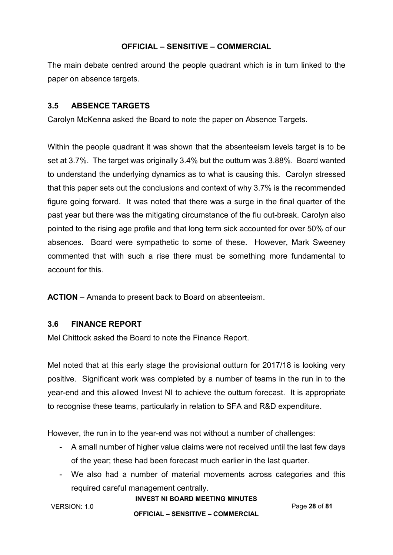The main debate centred around the people quadrant which is in turn linked to the paper on absence targets.

# **3.5 ABSENCE TARGETS**

Carolyn McKenna asked the Board to note the paper on Absence Targets.

Within the people quadrant it was shown that the absenteeism levels target is to be set at 3.7%. The target was originally 3.4% but the outturn was 3.88%. Board wanted to understand the underlying dynamics as to what is causing this. Carolyn stressed that this paper sets out the conclusions and context of why 3.7% is the recommended figure going forward. It was noted that there was a surge in the final quarter of the past year but there was the mitigating circumstance of the flu out-break. Carolyn also pointed to the rising age profile and that long term sick accounted for over 50% of our absences. Board were sympathetic to some of these. However, Mark Sweeney commented that with such a rise there must be something more fundamental to account for this.

**ACTION** – Amanda to present back to Board on absenteeism.

# **3.6 FINANCE REPORT**

Mel Chittock asked the Board to note the Finance Report.

Mel noted that at this early stage the provisional outturn for 2017/18 is looking very positive. Significant work was completed by a number of teams in the run in to the year-end and this allowed Invest NI to achieve the outturn forecast. It is appropriate to recognise these teams, particularly in relation to SFA and R&D expenditure.

However, the run in to the year-end was not without a number of challenges:

- A small number of higher value claims were not received until the last few days of the year; these had been forecast much earlier in the last quarter.
- We also had a number of material movements across categories and this required careful management centrally.

#### **INVEST NI BOARD MEETING MINUTES**

VERSION: 1.0 Page **28** of **81**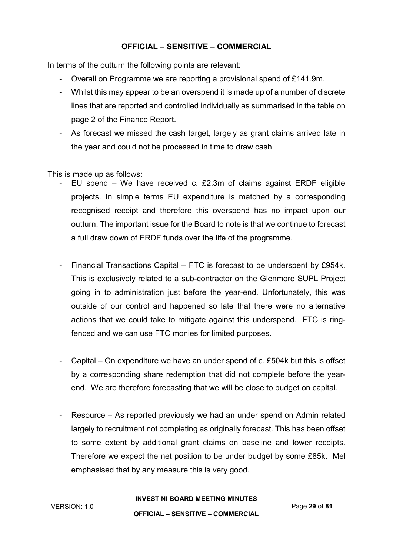In terms of the outturn the following points are relevant:

- Overall on Programme we are reporting a provisional spend of £141.9m.
- Whilst this may appear to be an overspend it is made up of a number of discrete lines that are reported and controlled individually as summarised in the table on page 2 of the Finance Report.
- As forecast we missed the cash target, largely as grant claims arrived late in the year and could not be processed in time to draw cash

This is made up as follows:

- EU spend We have received c.  $£2.3m$  of claims against ERDF eligible projects. In simple terms EU expenditure is matched by a corresponding recognised receipt and therefore this overspend has no impact upon our outturn. The important issue for the Board to note is that we continue to forecast a full draw down of ERDF funds over the life of the programme.
- Financial Transactions Capital FTC is forecast to be underspent by £954k. This is exclusively related to a sub-contractor on the Glenmore SUPL Project going in to administration just before the year-end. Unfortunately, this was outside of our control and happened so late that there were no alternative actions that we could take to mitigate against this underspend. FTC is ringfenced and we can use FTC monies for limited purposes.
- Capital On expenditure we have an under spend of c. £504k but this is offset by a corresponding share redemption that did not complete before the yearend. We are therefore forecasting that we will be close to budget on capital.
- Resource As reported previously we had an under spend on Admin related largely to recruitment not completing as originally forecast. This has been offset to some extent by additional grant claims on baseline and lower receipts. Therefore we expect the net position to be under budget by some £85k. Mel emphasised that by any measure this is very good.

**INVEST NI BOARD MEETING MINUTES**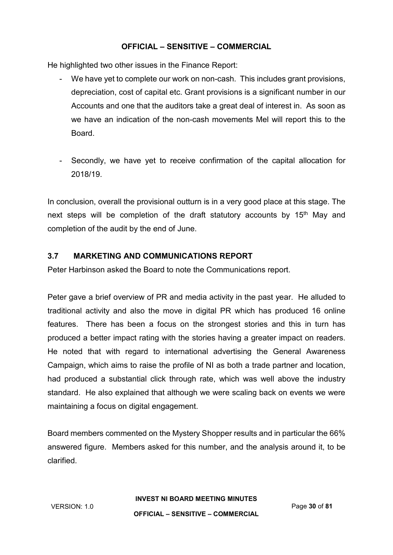He highlighted two other issues in the Finance Report:

- We have yet to complete our work on non-cash. This includes grant provisions, depreciation, cost of capital etc. Grant provisions is a significant number in our Accounts and one that the auditors take a great deal of interest in. As soon as we have an indication of the non-cash movements Mel will report this to the Board.
- Secondly, we have yet to receive confirmation of the capital allocation for 2018/19.

In conclusion, overall the provisional outturn is in a very good place at this stage. The next steps will be completion of the draft statutory accounts by 15<sup>th</sup> May and completion of the audit by the end of June.

# **3.7 MARKETING AND COMMUNICATIONS REPORT**

Peter Harbinson asked the Board to note the Communications report.

Peter gave a brief overview of PR and media activity in the past year. He alluded to traditional activity and also the move in digital PR which has produced 16 online features. There has been a focus on the strongest stories and this in turn has produced a better impact rating with the stories having a greater impact on readers. He noted that with regard to international advertising the General Awareness Campaign, which aims to raise the profile of NI as both a trade partner and location, had produced a substantial click through rate, which was well above the industry standard. He also explained that although we were scaling back on events we were maintaining a focus on digital engagement.

Board members commented on the Mystery Shopper results and in particular the 66% answered figure. Members asked for this number, and the analysis around it, to be clarified.

**INVEST NI BOARD MEETING MINUTES**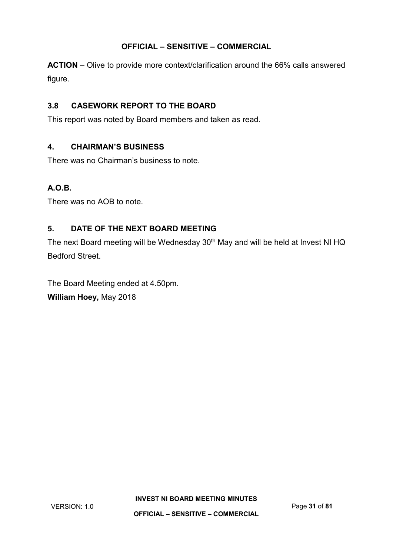**ACTION** – Olive to provide more context/clarification around the 66% calls answered figure.

# **3.8 CASEWORK REPORT TO THE BOARD**

This report was noted by Board members and taken as read.

## **4. CHAIRMAN'S BUSINESS**

There was no Chairman's business to note.

# **A.O.B.**

There was no AOB to note.

# **5. DATE OF THE NEXT BOARD MEETING**

The next Board meeting will be Wednesday 30<sup>th</sup> May and will be held at Invest NI HQ Bedford Street.

The Board Meeting ended at 4.50pm. **William Hoey,** May 2018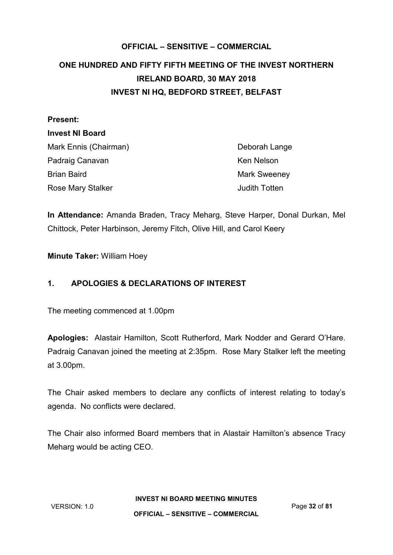# <span id="page-31-0"></span>**OFFICIAL – SENSITIVE – COMMERCIAL ONE HUNDRED AND FIFTY FIFTH MEETING OF THE INVEST NORTHERN IRELAND BOARD, 30 MAY 2018 INVEST NI HQ, BEDFORD STREET, BELFAST**

| <b>Present:</b>        |                      |
|------------------------|----------------------|
| <b>Invest NI Board</b> |                      |
| Mark Ennis (Chairman)  | Deborah Lange        |
| Padraig Canavan        | Ken Nelson           |
| <b>Brian Baird</b>     | <b>Mark Sweeney</b>  |
| Rose Mary Stalker      | <b>Judith Totten</b> |

**In Attendance:** Amanda Braden, Tracy Meharg, Steve Harper, Donal Durkan, Mel Chittock, Peter Harbinson, Jeremy Fitch, Olive Hill, and Carol Keery

**Minute Taker:** William Hoey

# **1. APOLOGIES & DECLARATIONS OF INTEREST**

The meeting commenced at 1.00pm

**Apologies:** Alastair Hamilton, Scott Rutherford, Mark Nodder and Gerard O'Hare. Padraig Canavan joined the meeting at 2:35pm. Rose Mary Stalker left the meeting at 3.00pm.

The Chair asked members to declare any conflicts of interest relating to today's agenda. No conflicts were declared.

The Chair also informed Board members that in Alastair Hamilton's absence Tracy Meharg would be acting CEO.

**INVEST NI BOARD MEETING MINUTES**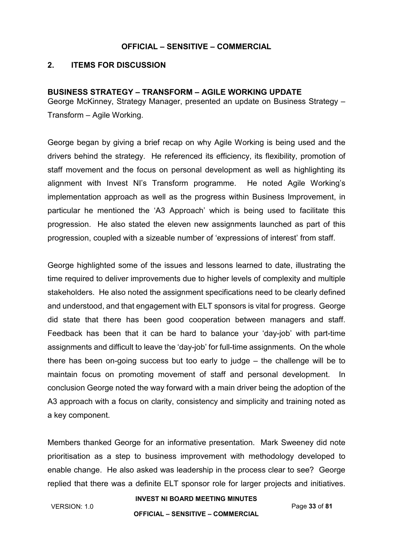#### **2. ITEMS FOR DISCUSSION**

#### **BUSINESS STRATEGY – TRANSFORM – AGILE WORKING UPDATE**

George McKinney, Strategy Manager, presented an update on Business Strategy – Transform – Agile Working.

George began by giving a brief recap on why Agile Working is being used and the drivers behind the strategy. He referenced its efficiency, its flexibility, promotion of staff movement and the focus on personal development as well as highlighting its alignment with Invest NI's Transform programme. He noted Agile Working's implementation approach as well as the progress within Business Improvement, in particular he mentioned the 'A3 Approach' which is being used to facilitate this progression. He also stated the eleven new assignments launched as part of this progression, coupled with a sizeable number of 'expressions of interest' from staff.

George highlighted some of the issues and lessons learned to date, illustrating the time required to deliver improvements due to higher levels of complexity and multiple stakeholders. He also noted the assignment specifications need to be clearly defined and understood, and that engagement with ELT sponsors is vital for progress. George did state that there has been good cooperation between managers and staff. Feedback has been that it can be hard to balance your 'day-job' with part-time assignments and difficult to leave the 'day-job' for full-time assignments. On the whole there has been on-going success but too early to judge – the challenge will be to maintain focus on promoting movement of staff and personal development. In conclusion George noted the way forward with a main driver being the adoption of the A3 approach with a focus on clarity, consistency and simplicity and training noted as a key component.

Members thanked George for an informative presentation. Mark Sweeney did note prioritisation as a step to business improvement with methodology developed to enable change. He also asked was leadership in the process clear to see? George replied that there was a definite ELT sponsor role for larger projects and initiatives.

VERSION: 1.0 Page **33** of **81**

## **INVEST NI BOARD MEETING MINUTES**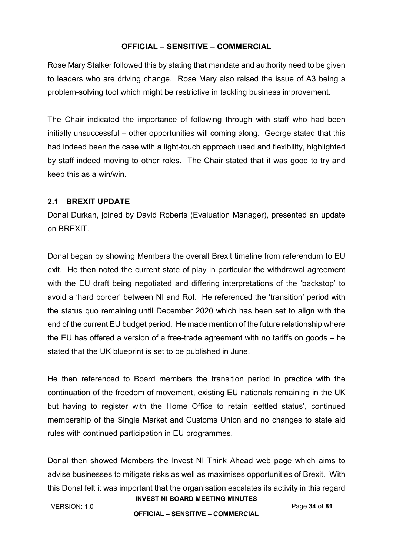Rose Mary Stalker followed this by stating that mandate and authority need to be given to leaders who are driving change. Rose Mary also raised the issue of A3 being a problem-solving tool which might be restrictive in tackling business improvement.

The Chair indicated the importance of following through with staff who had been initially unsuccessful – other opportunities will coming along. George stated that this had indeed been the case with a light-touch approach used and flexibility, highlighted by staff indeed moving to other roles. The Chair stated that it was good to try and keep this as a win/win.

## **2.1 BREXIT UPDATE**

Donal Durkan, joined by David Roberts (Evaluation Manager), presented an update on BREXIT.

Donal began by showing Members the overall Brexit timeline from referendum to EU exit. He then noted the current state of play in particular the withdrawal agreement with the EU draft being negotiated and differing interpretations of the 'backstop' to avoid a 'hard border' between NI and RoI. He referenced the 'transition' period with the status quo remaining until December 2020 which has been set to align with the end of the current EU budget period. He made mention of the future relationship where the EU has offered a version of a free-trade agreement with no tariffs on goods – he stated that the UK blueprint is set to be published in June.

He then referenced to Board members the transition period in practice with the continuation of the freedom of movement, existing EU nationals remaining in the UK but having to register with the Home Office to retain 'settled status', continued membership of the Single Market and Customs Union and no changes to state aid rules with continued participation in EU programmes.

Donal then showed Members the Invest NI Think Ahead web page which aims to advise businesses to mitigate risks as well as maximises opportunities of Brexit. With this Donal felt it was important that the organisation escalates its activity in this regard

**INVEST NI BOARD MEETING MINUTES** VERSION: 1.0 Page **34** of **81**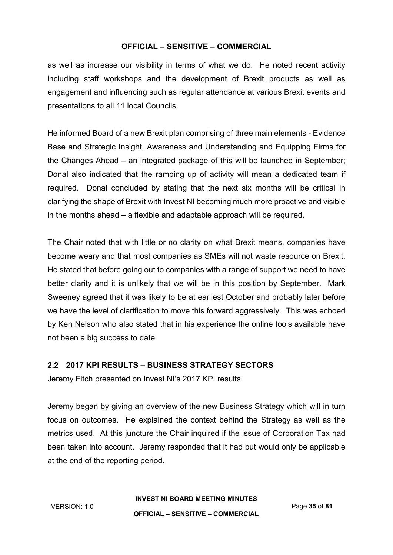as well as increase our visibility in terms of what we do. He noted recent activity including staff workshops and the development of Brexit products as well as engagement and influencing such as regular attendance at various Brexit events and presentations to all 11 local Councils.

He informed Board of a new Brexit plan comprising of three main elements - Evidence Base and Strategic Insight, Awareness and Understanding and Equipping Firms for the Changes Ahead – an integrated package of this will be launched in September; Donal also indicated that the ramping up of activity will mean a dedicated team if required. Donal concluded by stating that the next six months will be critical in clarifying the shape of Brexit with Invest NI becoming much more proactive and visible in the months ahead – a flexible and adaptable approach will be required.

The Chair noted that with little or no clarity on what Brexit means, companies have become weary and that most companies as SMEs will not waste resource on Brexit. He stated that before going out to companies with a range of support we need to have better clarity and it is unlikely that we will be in this position by September. Mark Sweeney agreed that it was likely to be at earliest October and probably later before we have the level of clarification to move this forward aggressively. This was echoed by Ken Nelson who also stated that in his experience the online tools available have not been a big success to date.

# **2.2 2017 KPI RESULTS – BUSINESS STRATEGY SECTORS**

Jeremy Fitch presented on Invest NI's 2017 KPI results.

Jeremy began by giving an overview of the new Business Strategy which will in turn focus on outcomes. He explained the context behind the Strategy as well as the metrics used. At this juncture the Chair inquired if the issue of Corporation Tax had been taken into account. Jeremy responded that it had but would only be applicable at the end of the reporting period.

**INVEST NI BOARD MEETING MINUTES**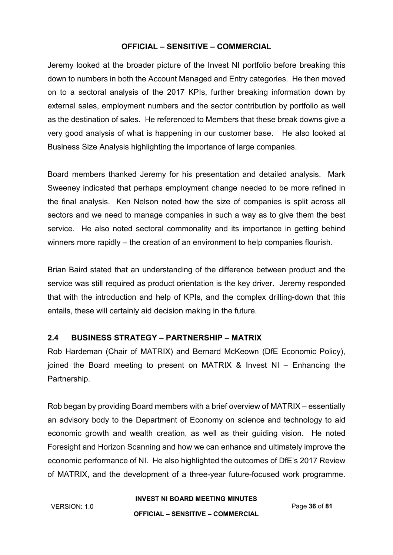Jeremy looked at the broader picture of the Invest NI portfolio before breaking this down to numbers in both the Account Managed and Entry categories. He then moved on to a sectoral analysis of the 2017 KPIs, further breaking information down by external sales, employment numbers and the sector contribution by portfolio as well as the destination of sales. He referenced to Members that these break downs give a very good analysis of what is happening in our customer base. He also looked at Business Size Analysis highlighting the importance of large companies.

Board members thanked Jeremy for his presentation and detailed analysis. Mark Sweeney indicated that perhaps employment change needed to be more refined in the final analysis. Ken Nelson noted how the size of companies is split across all sectors and we need to manage companies in such a way as to give them the best service. He also noted sectoral commonality and its importance in getting behind winners more rapidly – the creation of an environment to help companies flourish.

Brian Baird stated that an understanding of the difference between product and the service was still required as product orientation is the key driver. Jeremy responded that with the introduction and help of KPIs, and the complex drilling-down that this entails, these will certainly aid decision making in the future.

# **2.4 BUSINESS STRATEGY – PARTNERSHIP – MATRIX**

Rob Hardeman (Chair of MATRIX) and Bernard McKeown (DfE Economic Policy), joined the Board meeting to present on MATRIX & Invest NI – Enhancing the Partnership.

Rob began by providing Board members with a brief overview of MATRIX – essentially an advisory body to the Department of Economy on science and technology to aid economic growth and wealth creation, as well as their guiding vision. He noted Foresight and Horizon Scanning and how we can enhance and ultimately improve the economic performance of NI. He also highlighted the outcomes of DfE's 2017 Review of MATRIX, and the development of a three-year future-focused work programme.

**INVEST NI BOARD MEETING MINUTES**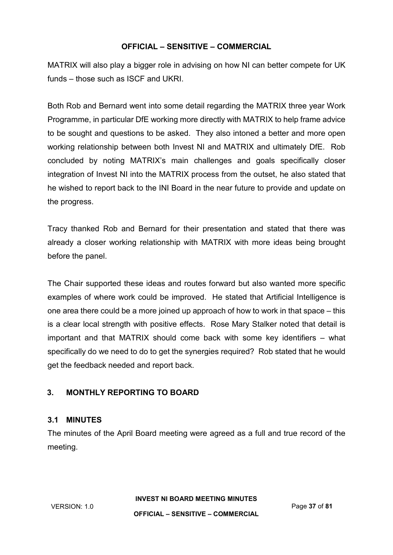MATRIX will also play a bigger role in advising on how NI can better compete for UK funds – those such as ISCF and UKRI.

Both Rob and Bernard went into some detail regarding the MATRIX three year Work Programme, in particular DfE working more directly with MATRIX to help frame advice to be sought and questions to be asked. They also intoned a better and more open working relationship between both Invest NI and MATRIX and ultimately DfE. Rob concluded by noting MATRIX's main challenges and goals specifically closer integration of Invest NI into the MATRIX process from the outset, he also stated that he wished to report back to the INI Board in the near future to provide and update on the progress.

Tracy thanked Rob and Bernard for their presentation and stated that there was already a closer working relationship with MATRIX with more ideas being brought before the panel.

The Chair supported these ideas and routes forward but also wanted more specific examples of where work could be improved. He stated that Artificial Intelligence is one area there could be a more joined up approach of how to work in that space – this is a clear local strength with positive effects. Rose Mary Stalker noted that detail is important and that MATRIX should come back with some key identifiers – what specifically do we need to do to get the synergies required? Rob stated that he would get the feedback needed and report back.

# **3. MONTHLY REPORTING TO BOARD**

#### **3.1 MINUTES**

The minutes of the April Board meeting were agreed as a full and true record of the meeting.

**INVEST NI BOARD MEETING MINUTES**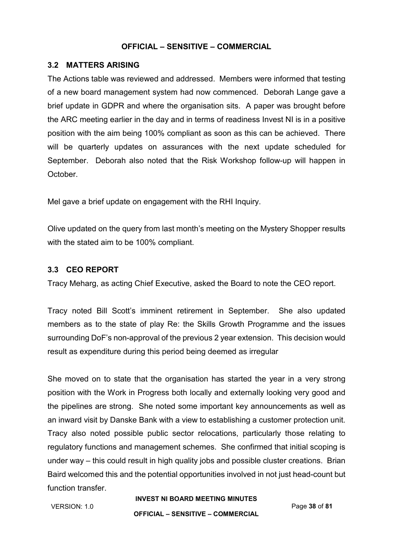#### **3.2 MATTERS ARISING**

The Actions table was reviewed and addressed. Members were informed that testing of a new board management system had now commenced. Deborah Lange gave a brief update in GDPR and where the organisation sits. A paper was brought before the ARC meeting earlier in the day and in terms of readiness Invest NI is in a positive position with the aim being 100% compliant as soon as this can be achieved. There will be quarterly updates on assurances with the next update scheduled for September. Deborah also noted that the Risk Workshop follow-up will happen in October.

Mel gave a brief update on engagement with the RHI Inquiry.

Olive updated on the query from last month's meeting on the Mystery Shopper results with the stated aim to be 100% compliant.

#### **3.3 CEO REPORT**

Tracy Meharg, as acting Chief Executive, asked the Board to note the CEO report.

Tracy noted Bill Scott's imminent retirement in September. She also updated members as to the state of play Re: the Skills Growth Programme and the issues surrounding DoF's non-approval of the previous 2 year extension. This decision would result as expenditure during this period being deemed as irregular

She moved on to state that the organisation has started the year in a very strong position with the Work in Progress both locally and externally looking very good and the pipelines are strong. She noted some important key announcements as well as an inward visit by Danske Bank with a view to establishing a customer protection unit. Tracy also noted possible public sector relocations, particularly those relating to regulatory functions and management schemes. She confirmed that initial scoping is under way – this could result in high quality jobs and possible cluster creations. Brian Baird welcomed this and the potential opportunities involved in not just head-count but function transfer.

VERSION: 1.0 Page **38** of **81**

#### **INVEST NI BOARD MEETING MINUTES**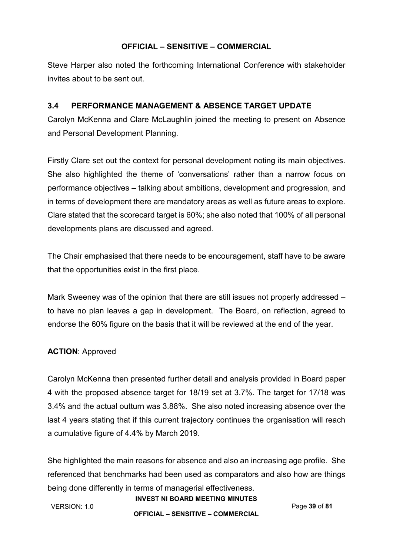Steve Harper also noted the forthcoming International Conference with stakeholder invites about to be sent out.

# **3.4 PERFORMANCE MANAGEMENT & ABSENCE TARGET UPDATE**

Carolyn McKenna and Clare McLaughlin joined the meeting to present on Absence and Personal Development Planning.

Firstly Clare set out the context for personal development noting its main objectives. She also highlighted the theme of 'conversations' rather than a narrow focus on performance objectives – talking about ambitions, development and progression, and in terms of development there are mandatory areas as well as future areas to explore. Clare stated that the scorecard target is 60%; she also noted that 100% of all personal developments plans are discussed and agreed.

The Chair emphasised that there needs to be encouragement, staff have to be aware that the opportunities exist in the first place.

Mark Sweeney was of the opinion that there are still issues not properly addressed – to have no plan leaves a gap in development. The Board, on reflection, agreed to endorse the 60% figure on the basis that it will be reviewed at the end of the year.

# **ACTION**: Approved

Carolyn McKenna then presented further detail and analysis provided in Board paper 4 with the proposed absence target for 18/19 set at 3.7%. The target for 17/18 was 3.4% and the actual outturn was 3.88%. She also noted increasing absence over the last 4 years stating that if this current trajectory continues the organisation will reach a cumulative figure of 4.4% by March 2019.

She highlighted the main reasons for absence and also an increasing age profile. She referenced that benchmarks had been used as comparators and also how are things being done differently in terms of managerial effectiveness.

VERSION: 1.0 Page **39** of **81**

#### **INVEST NI BOARD MEETING MINUTES**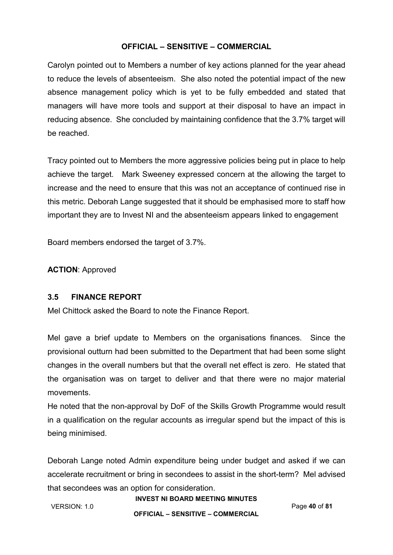Carolyn pointed out to Members a number of key actions planned for the year ahead to reduce the levels of absenteeism. She also noted the potential impact of the new absence management policy which is yet to be fully embedded and stated that managers will have more tools and support at their disposal to have an impact in reducing absence. She concluded by maintaining confidence that the 3.7% target will be reached.

Tracy pointed out to Members the more aggressive policies being put in place to help achieve the target. Mark Sweeney expressed concern at the allowing the target to increase and the need to ensure that this was not an acceptance of continued rise in this metric. Deborah Lange suggested that it should be emphasised more to staff how important they are to Invest NI and the absenteeism appears linked to engagement

Board members endorsed the target of 3.7%.

**ACTION**: Approved

# **3.5 FINANCE REPORT**

Mel Chittock asked the Board to note the Finance Report.

Mel gave a brief update to Members on the organisations finances. Since the provisional outturn had been submitted to the Department that had been some slight changes in the overall numbers but that the overall net effect is zero. He stated that the organisation was on target to deliver and that there were no major material movements.

He noted that the non-approval by DoF of the Skills Growth Programme would result in a qualification on the regular accounts as irregular spend but the impact of this is being minimised.

Deborah Lange noted Admin expenditure being under budget and asked if we can accelerate recruitment or bring in secondees to assist in the short-term? Mel advised that secondees was an option for consideration.

**INVEST NI BOARD MEETING MINUTES**

# VERSION: 1.0 Page **40** of **81**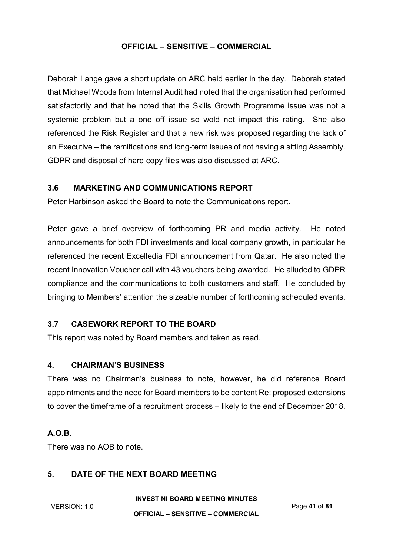Deborah Lange gave a short update on ARC held earlier in the day. Deborah stated that Michael Woods from Internal Audit had noted that the organisation had performed satisfactorily and that he noted that the Skills Growth Programme issue was not a systemic problem but a one off issue so wold not impact this rating. She also referenced the Risk Register and that a new risk was proposed regarding the lack of an Executive – the ramifications and long-term issues of not having a sitting Assembly. GDPR and disposal of hard copy files was also discussed at ARC.

#### **3.6 MARKETING AND COMMUNICATIONS REPORT**

Peter Harbinson asked the Board to note the Communications report.

Peter gave a brief overview of forthcoming PR and media activity. He noted announcements for both FDI investments and local company growth, in particular he referenced the recent Excelledia FDI announcement from Qatar. He also noted the recent Innovation Voucher call with 43 vouchers being awarded. He alluded to GDPR compliance and the communications to both customers and staff. He concluded by bringing to Members' attention the sizeable number of forthcoming scheduled events.

#### **3.7 CASEWORK REPORT TO THE BOARD**

This report was noted by Board members and taken as read.

#### **4. CHAIRMAN'S BUSINESS**

There was no Chairman's business to note, however, he did reference Board appointments and the need for Board members to be content Re: proposed extensions to cover the timeframe of a recruitment process – likely to the end of December 2018.

#### **A.O.B.**

There was no AOB to note.

#### **5. DATE OF THE NEXT BOARD MEETING**

**INVEST NI BOARD MEETING MINUTES**

VERSION: 1.0 Page **41** of **81**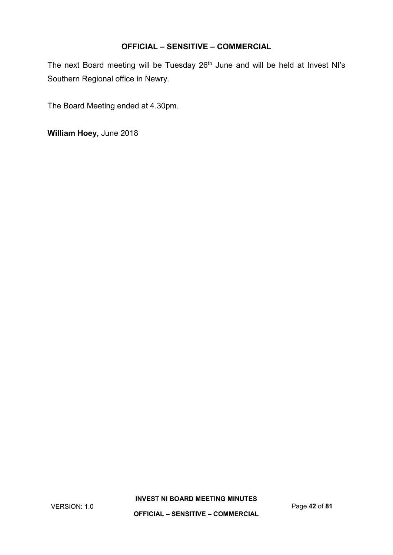The next Board meeting will be Tuesday 26<sup>th</sup> June and will be held at Invest NI's Southern Regional office in Newry.

The Board Meeting ended at 4.30pm.

**William Hoey,** June 2018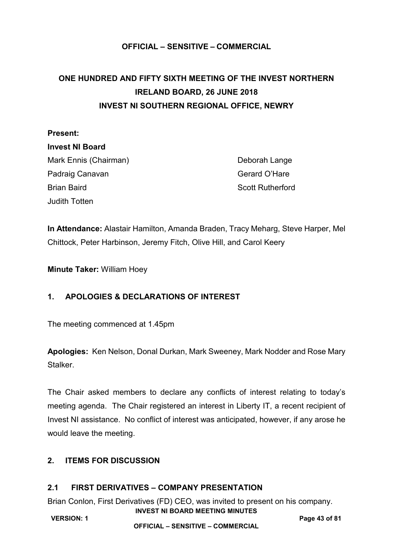# **ONE HUNDRED AND FIFTY SIXTH MEETING OF THE INVEST NORTHERN IRELAND BOARD, 26 JUNE 2018 INVEST NI SOUTHERN REGIONAL OFFICE, NEWRY**

# **Present:**

**Invest NI Board** Mark Ennis (Chairman) Deborah Lange Padraig Canavan Gerard O'Hare Brian Baird Scott Rutherford Judith Totten

**In Attendance:** Alastair Hamilton, Amanda Braden, Tracy Meharg, Steve Harper, Mel Chittock, Peter Harbinson, Jeremy Fitch, Olive Hill, and Carol Keery

**Minute Taker:** William Hoey

# **1. APOLOGIES & DECLARATIONS OF INTEREST**

The meeting commenced at 1.45pm

**Apologies:** Ken Nelson, Donal Durkan, Mark Sweeney, Mark Nodder and Rose Mary Stalker.

The Chair asked members to declare any conflicts of interest relating to today's meeting agenda. The Chair registered an interest in Liberty IT, a recent recipient of Invest NI assistance. No conflict of interest was anticipated, however, if any arose he would leave the meeting.

# **2. ITEMS FOR DISCUSSION**

# **2.1 FIRST DERIVATIVES – COMPANY PRESENTATION**

**INVEST NI BOARD MEETING MINUTES** Brian Conlon, First Derivatives (FD) CEO, was invited to present on his company.

**VERSION: 1 Page 43 of 81**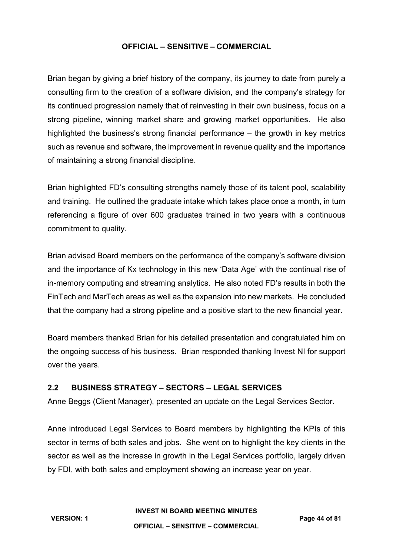Brian began by giving a brief history of the company, its journey to date from purely a consulting firm to the creation of a software division, and the company's strategy for its continued progression namely that of reinvesting in their own business, focus on a strong pipeline, winning market share and growing market opportunities. He also highlighted the business's strong financial performance – the growth in key metrics such as revenue and software, the improvement in revenue quality and the importance of maintaining a strong financial discipline.

Brian highlighted FD's consulting strengths namely those of its talent pool, scalability and training. He outlined the graduate intake which takes place once a month, in turn referencing a figure of over 600 graduates trained in two years with a continuous commitment to quality.

Brian advised Board members on the performance of the company's software division and the importance of Kx technology in this new 'Data Age' with the continual rise of in-memory computing and streaming analytics. He also noted FD's results in both the FinTech and MarTech areas as well as the expansion into new markets. He concluded that the company had a strong pipeline and a positive start to the new financial year.

Board members thanked Brian for his detailed presentation and congratulated him on the ongoing success of his business. Brian responded thanking Invest NI for support over the years.

# **2.2 BUSINESS STRATEGY – SECTORS – LEGAL SERVICES**

Anne Beggs (Client Manager), presented an update on the Legal Services Sector.

Anne introduced Legal Services to Board members by highlighting the KPIs of this sector in terms of both sales and jobs. She went on to highlight the key clients in the sector as well as the increase in growth in the Legal Services portfolio, largely driven by FDI, with both sales and employment showing an increase year on year.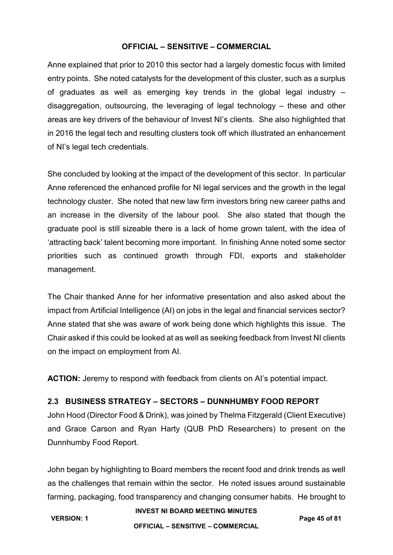Anne explained that prior to 2010 this sector had a largely domestic focus with limited entry points. She noted catalysts for the development of this cluster, such as a surplus of graduates as well as emerging key trends in the global legal industry – disaggregation, outsourcing, the leveraging of legal technology – these and other areas are key drivers of the behaviour of Invest NI's clients. She also highlighted that in 2016 the legal tech and resulting clusters took off which illustrated an enhancement of NI's legal tech credentials.

She concluded by looking at the impact of the development of this sector. In particular Anne referenced the enhanced profile for NI legal services and the growth in the legal technology cluster. She noted that new law firm investors bring new career paths and an increase in the diversity of the labour pool. She also stated that though the graduate pool is still sizeable there is a lack of home grown talent, with the idea of 'attracting back' talent becoming more important. In finishing Anne noted some sector priorities such as continued growth through FDI, exports and stakeholder management.

The Chair thanked Anne for her informative presentation and also asked about the impact from Artificial Intelligence (AI) on jobs in the legal and financial services sector? Anne stated that she was aware of work being done which highlights this issue. The Chair asked if this could be looked at as well as seeking feedback from Invest NI clients on the impact on employment from AI.

**ACTION:** Jeremy to respond with feedback from clients on AI's potential impact.

#### **2.3 BUSINESS STRATEGY – SECTORS – DUNNHUMBY FOOD REPORT**

John Hood (Director Food & Drink), was joined by Thelma Fitzgerald (Client Executive) and Grace Carson and Ryan Harty (QUB PhD Researchers) to present on the Dunnhumby Food Report.

John began by highlighting to Board members the recent food and drink trends as well as the challenges that remain within the sector. He noted issues around sustainable farming, packaging, food transparency and changing consumer habits. He brought to

#### **INVEST NI BOARD MEETING MINUTES**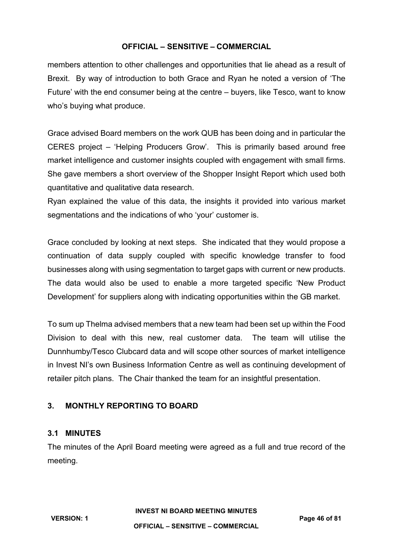members attention to other challenges and opportunities that lie ahead as a result of Brexit. By way of introduction to both Grace and Ryan he noted a version of 'The Future' with the end consumer being at the centre – buyers, like Tesco, want to know who's buying what produce.

Grace advised Board members on the work QUB has been doing and in particular the CERES project – 'Helping Producers Grow'. This is primarily based around free market intelligence and customer insights coupled with engagement with small firms. She gave members a short overview of the Shopper Insight Report which used both quantitative and qualitative data research.

Ryan explained the value of this data, the insights it provided into various market segmentations and the indications of who 'your' customer is.

Grace concluded by looking at next steps. She indicated that they would propose a continuation of data supply coupled with specific knowledge transfer to food businesses along with using segmentation to target gaps with current or new products. The data would also be used to enable a more targeted specific 'New Product Development' for suppliers along with indicating opportunities within the GB market.

To sum up Thelma advised members that a new team had been set up within the Food Division to deal with this new, real customer data. The team will utilise the Dunnhumby/Tesco Clubcard data and will scope other sources of market intelligence in Invest NI's own Business Information Centre as well as continuing development of retailer pitch plans. The Chair thanked the team for an insightful presentation.

# **3. MONTHLY REPORTING TO BOARD**

#### **3.1 MINUTES**

The minutes of the April Board meeting were agreed as a full and true record of the meeting.

**VERSION: 1 Page 46 of 81**

# **INVEST NI BOARD MEETING MINUTES**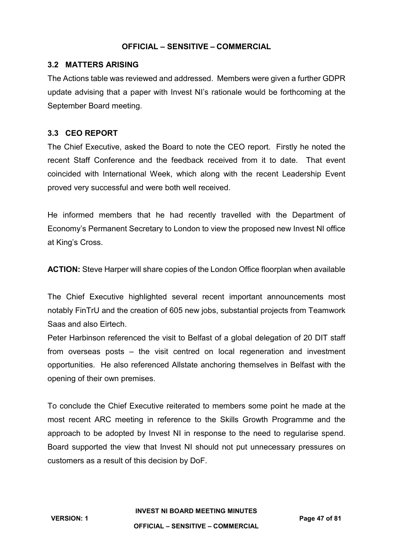#### **3.2 MATTERS ARISING**

The Actions table was reviewed and addressed. Members were given a further GDPR update advising that a paper with Invest NI's rationale would be forthcoming at the September Board meeting.

#### **3.3 CEO REPORT**

The Chief Executive, asked the Board to note the CEO report. Firstly he noted the recent Staff Conference and the feedback received from it to date. That event coincided with International Week, which along with the recent Leadership Event proved very successful and were both well received.

He informed members that he had recently travelled with the Department of Economy's Permanent Secretary to London to view the proposed new Invest NI office at King's Cross.

**ACTION:** Steve Harper will share copies of the London Office floorplan when available

The Chief Executive highlighted several recent important announcements most notably FinTrU and the creation of 605 new jobs, substantial projects from Teamwork Saas and also Eirtech.

Peter Harbinson referenced the visit to Belfast of a global delegation of 20 DIT staff from overseas posts – the visit centred on local regeneration and investment opportunities. He also referenced Allstate anchoring themselves in Belfast with the opening of their own premises.

To conclude the Chief Executive reiterated to members some point he made at the most recent ARC meeting in reference to the Skills Growth Programme and the approach to be adopted by Invest NI in response to the need to regularise spend. Board supported the view that Invest NI should not put unnecessary pressures on customers as a result of this decision by DoF.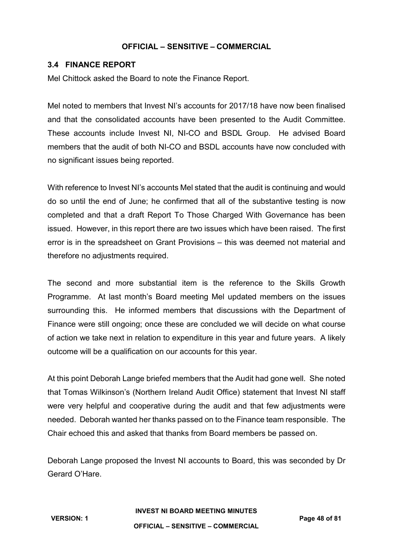### **3.4 FINANCE REPORT**

Mel Chittock asked the Board to note the Finance Report.

Mel noted to members that Invest NI's accounts for 2017/18 have now been finalised and that the consolidated accounts have been presented to the Audit Committee. These accounts include Invest NI, NI-CO and BSDL Group. He advised Board members that the audit of both NI-CO and BSDL accounts have now concluded with no significant issues being reported.

With reference to Invest NI's accounts Mel stated that the audit is continuing and would do so until the end of June; he confirmed that all of the substantive testing is now completed and that a draft Report To Those Charged With Governance has been issued. However, in this report there are two issues which have been raised. The first error is in the spreadsheet on Grant Provisions – this was deemed not material and therefore no adjustments required.

The second and more substantial item is the reference to the Skills Growth Programme. At last month's Board meeting Mel updated members on the issues surrounding this. He informed members that discussions with the Department of Finance were still ongoing; once these are concluded we will decide on what course of action we take next in relation to expenditure in this year and future years. A likely outcome will be a qualification on our accounts for this year.

At this point Deborah Lange briefed members that the Audit had gone well. She noted that Tomas Wilkinson's (Northern Ireland Audit Office) statement that Invest NI staff were very helpful and cooperative during the audit and that few adjustments were needed. Deborah wanted her thanks passed on to the Finance team responsible. The Chair echoed this and asked that thanks from Board members be passed on.

Deborah Lange proposed the Invest NI accounts to Board, this was seconded by Dr Gerard O'Hare.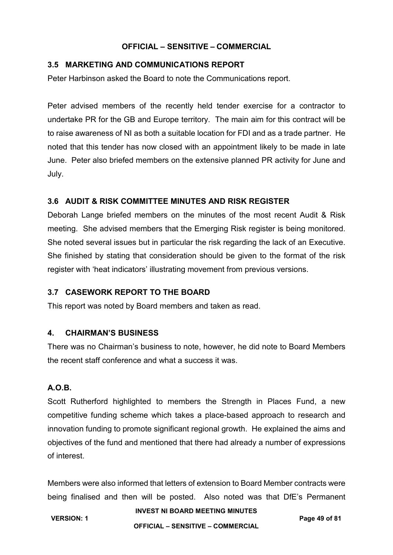#### **3.5 MARKETING AND COMMUNICATIONS REPORT**

Peter Harbinson asked the Board to note the Communications report.

Peter advised members of the recently held tender exercise for a contractor to undertake PR for the GB and Europe territory. The main aim for this contract will be to raise awareness of NI as both a suitable location for FDI and as a trade partner. He noted that this tender has now closed with an appointment likely to be made in late June. Peter also briefed members on the extensive planned PR activity for June and July.

# **3.6 AUDIT & RISK COMMITTEE MINUTES AND RISK REGISTER**

Deborah Lange briefed members on the minutes of the most recent Audit & Risk meeting. She advised members that the Emerging Risk register is being monitored. She noted several issues but in particular the risk regarding the lack of an Executive. She finished by stating that consideration should be given to the format of the risk register with 'heat indicators' illustrating movement from previous versions.

#### **3.7 CASEWORK REPORT TO THE BOARD**

This report was noted by Board members and taken as read.

#### **4. CHAIRMAN'S BUSINESS**

There was no Chairman's business to note, however, he did note to Board Members the recent staff conference and what a success it was.

# **A.O.B.**

Scott Rutherford highlighted to members the Strength in Places Fund, a new competitive funding scheme which takes a place-based approach to research and innovation funding to promote significant regional growth. He explained the aims and objectives of the fund and mentioned that there had already a number of expressions of interest.

Members were also informed that letters of extension to Board Member contracts were being finalised and then will be posted. Also noted was that DfE's Permanent

**INVEST NI BOARD MEETING MINUTES**

**VERSION: 1 Page 49 of 81 OFFICIAL – SENSITIVE – COMMERCIAL**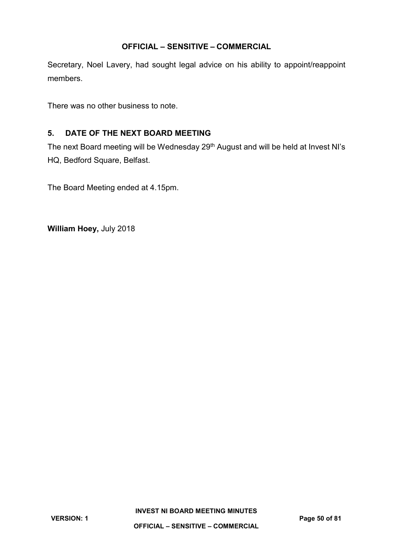Secretary, Noel Lavery, had sought legal advice on his ability to appoint/reappoint members.

There was no other business to note.

# **5. DATE OF THE NEXT BOARD MEETING**

The next Board meeting will be Wednesday 29<sup>th</sup> August and will be held at Invest NI's HQ, Bedford Square, Belfast.

The Board Meeting ended at 4.15pm.

**William Hoey,** July 2018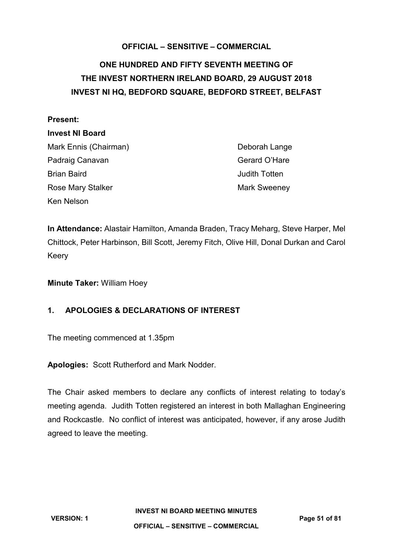# **ONE HUNDRED AND FIFTY SEVENTH MEETING OF THE INVEST NORTHERN IRELAND BOARD, 29 AUGUST 2018 INVEST NI HQ, BEDFORD SQUARE, BEDFORD STREET, BELFAST**

#### **Present:**

#### **Invest NI Board**

Mark Ennis (Chairman) Deborah Lange Padraig Canavan Gerard O'Hare Brian Baird **II** and the *Secondary Company* Secondary Secondary Secondary Secondary Secondary Secondary Secondary Secondary Secondary Secondary Secondary Secondary Secondary Secondary Secondary Secondary Secondary Seconda Rose Mary Stalker Mark Sweeney Ken Nelson

**In Attendance:** Alastair Hamilton, Amanda Braden, Tracy Meharg, Steve Harper, Mel Chittock, Peter Harbinson, Bill Scott, Jeremy Fitch, Olive Hill, Donal Durkan and Carol Keery

**Minute Taker:** William Hoey

# **1. APOLOGIES & DECLARATIONS OF INTEREST**

The meeting commenced at 1.35pm

**Apologies:** Scott Rutherford and Mark Nodder.

The Chair asked members to declare any conflicts of interest relating to today's meeting agenda. Judith Totten registered an interest in both Mallaghan Engineering and Rockcastle. No conflict of interest was anticipated, however, if any arose Judith agreed to leave the meeting.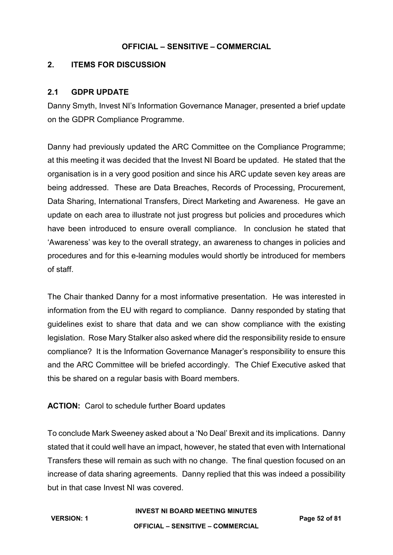# **2. ITEMS FOR DISCUSSION**

### **2.1 GDPR UPDATE**

Danny Smyth, Invest NI's Information Governance Manager, presented a brief update on the GDPR Compliance Programme.

Danny had previously updated the ARC Committee on the Compliance Programme; at this meeting it was decided that the Invest NI Board be updated. He stated that the organisation is in a very good position and since his ARC update seven key areas are being addressed. These are Data Breaches, Records of Processing, Procurement, Data Sharing, International Transfers, Direct Marketing and Awareness. He gave an update on each area to illustrate not just progress but policies and procedures which have been introduced to ensure overall compliance. In conclusion he stated that 'Awareness' was key to the overall strategy, an awareness to changes in policies and procedures and for this e-learning modules would shortly be introduced for members of staff.

The Chair thanked Danny for a most informative presentation. He was interested in information from the EU with regard to compliance. Danny responded by stating that guidelines exist to share that data and we can show compliance with the existing legislation. Rose Mary Stalker also asked where did the responsibility reside to ensure compliance? It is the Information Governance Manager's responsibility to ensure this and the ARC Committee will be briefed accordingly. The Chief Executive asked that this be shared on a regular basis with Board members.

# **ACTION:** Carol to schedule further Board updates

To conclude Mark Sweeney asked about a 'No Deal' Brexit and its implications. Danny stated that it could well have an impact, however, he stated that even with International Transfers these will remain as such with no change. The final question focused on an increase of data sharing agreements. Danny replied that this was indeed a possibility but in that case Invest NI was covered.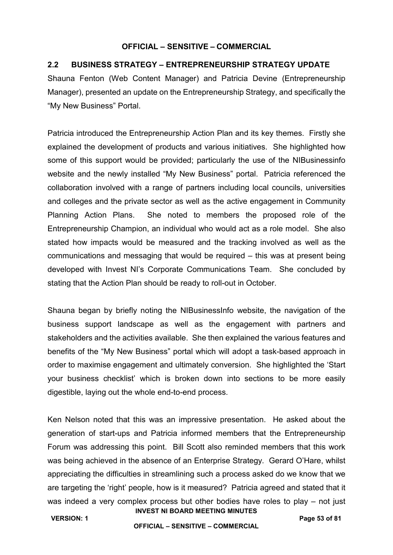#### **2.2 BUSINESS STRATEGY – ENTREPRENEURSHIP STRATEGY UPDATE**

Shauna Fenton (Web Content Manager) and Patricia Devine (Entrepreneurship Manager), presented an update on the Entrepreneurship Strategy, and specifically the "My New Business" Portal.

Patricia introduced the Entrepreneurship Action Plan and its key themes. Firstly she explained the development of products and various initiatives. She highlighted how some of this support would be provided; particularly the use of the NIBusinessinfo website and the newly installed "My New Business" portal. Patricia referenced the collaboration involved with a range of partners including local councils, universities and colleges and the private sector as well as the active engagement in Community Planning Action Plans. She noted to members the proposed role of the Entrepreneurship Champion, an individual who would act as a role model. She also stated how impacts would be measured and the tracking involved as well as the communications and messaging that would be required – this was at present being developed with Invest NI's Corporate Communications Team. She concluded by stating that the Action Plan should be ready to roll-out in October.

Shauna began by briefly noting the NIBusinessInfo website, the navigation of the business support landscape as well as the engagement with partners and stakeholders and the activities available. She then explained the various features and benefits of the "My New Business" portal which will adopt a task-based approach in order to maximise engagement and ultimately conversion. She highlighted the 'Start your business checklist' which is broken down into sections to be more easily digestible, laying out the whole end-to-end process.

**INVEST NI BOARD MEETING MINUTES** Ken Nelson noted that this was an impressive presentation. He asked about the generation of start-ups and Patricia informed members that the Entrepreneurship Forum was addressing this point. Bill Scott also reminded members that this work was being achieved in the absence of an Enterprise Strategy. Gerard O'Hare, whilst appreciating the difficulties in streamlining such a process asked do we know that we are targeting the 'right' people, how is it measured? Patricia agreed and stated that it was indeed a very complex process but other bodies have roles to play – not just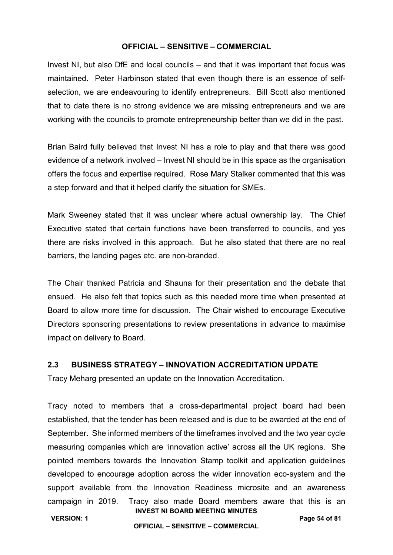Invest NI, but also DfE and local councils – and that it was important that focus was maintained. Peter Harbinson stated that even though there is an essence of selfselection, we are endeavouring to identify entrepreneurs. Bill Scott also mentioned that to date there is no strong evidence we are missing entrepreneurs and we are working with the councils to promote entrepreneurship better than we did in the past.

Brian Baird fully believed that Invest NI has a role to play and that there was good evidence of a network involved – Invest NI should be in this space as the organisation offers the focus and expertise required. Rose Mary Stalker commented that this was a step forward and that it helped clarify the situation for SMEs.

Mark Sweeney stated that it was unclear where actual ownership lay. The Chief Executive stated that certain functions have been transferred to councils, and yes there are risks involved in this approach. But he also stated that there are no real barriers, the landing pages etc. are non-branded.

The Chair thanked Patricia and Shauna for their presentation and the debate that ensued. He also felt that topics such as this needed more time when presented at Board to allow more time for discussion. The Chair wished to encourage Executive Directors sponsoring presentations to review presentations in advance to maximise impact on delivery to Board.

#### **2.3 BUSINESS STRATEGY – INNOVATION ACCREDITATION UPDATE**

Tracy Meharg presented an update on the Innovation Accreditation.

**INVEST NI BOARD MEETING MINUTES** Tracy noted to members that a cross-departmental project board had been established, that the tender has been released and is due to be awarded at the end of September. She informed members of the timeframes involved and the two year cycle measuring companies which are 'innovation active' across all the UK regions. She pointed members towards the Innovation Stamp toolkit and application guidelines developed to encourage adoption across the wider innovation eco-system and the support available from the Innovation Readiness microsite and an awareness campaign in 2019. Tracy also made Board members aware that this is an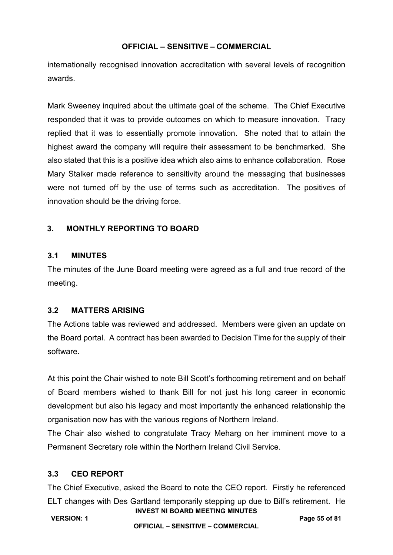internationally recognised innovation accreditation with several levels of recognition awards.

Mark Sweeney inquired about the ultimate goal of the scheme. The Chief Executive responded that it was to provide outcomes on which to measure innovation. Tracy replied that it was to essentially promote innovation. She noted that to attain the highest award the company will require their assessment to be benchmarked. She also stated that this is a positive idea which also aims to enhance collaboration. Rose Mary Stalker made reference to sensitivity around the messaging that businesses were not turned off by the use of terms such as accreditation. The positives of innovation should be the driving force.

## **3. MONTHLY REPORTING TO BOARD**

#### **3.1 MINUTES**

The minutes of the June Board meeting were agreed as a full and true record of the meeting.

#### **3.2 MATTERS ARISING**

The Actions table was reviewed and addressed. Members were given an update on the Board portal. A contract has been awarded to Decision Time for the supply of their software.

At this point the Chair wished to note Bill Scott's forthcoming retirement and on behalf of Board members wished to thank Bill for not just his long career in economic development but also his legacy and most importantly the enhanced relationship the organisation now has with the various regions of Northern Ireland.

The Chair also wished to congratulate Tracy Meharg on her imminent move to a Permanent Secretary role within the Northern Ireland Civil Service.

#### **3.3 CEO REPORT**

**INVEST NI BOARD MEETING MINUTES** The Chief Executive, asked the Board to note the CEO report. Firstly he referenced ELT changes with Des Gartland temporarily stepping up due to Bill's retirement. He

**VERSION: 1 Page 55 of 81**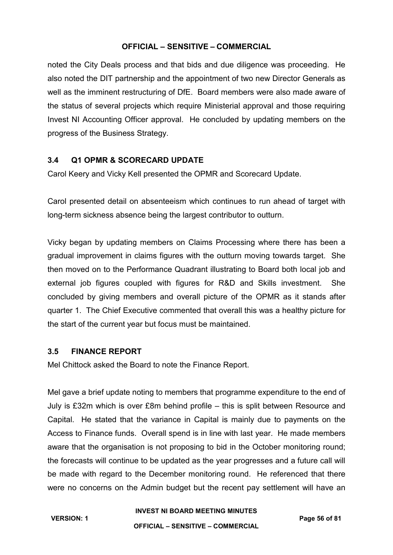noted the City Deals process and that bids and due diligence was proceeding. He also noted the DIT partnership and the appointment of two new Director Generals as well as the imminent restructuring of DfE. Board members were also made aware of the status of several projects which require Ministerial approval and those requiring Invest NI Accounting Officer approval. He concluded by updating members on the progress of the Business Strategy.

## **3.4 Q1 OPMR & SCORECARD UPDATE**

Carol Keery and Vicky Kell presented the OPMR and Scorecard Update.

Carol presented detail on absenteeism which continues to run ahead of target with long-term sickness absence being the largest contributor to outturn.

Vicky began by updating members on Claims Processing where there has been a gradual improvement in claims figures with the outturn moving towards target. She then moved on to the Performance Quadrant illustrating to Board both local job and external job figures coupled with figures for R&D and Skills investment. She concluded by giving members and overall picture of the OPMR as it stands after quarter 1. The Chief Executive commented that overall this was a healthy picture for the start of the current year but focus must be maintained.

## **3.5 FINANCE REPORT**

Mel Chittock asked the Board to note the Finance Report.

Mel gave a brief update noting to members that programme expenditure to the end of July is £32m which is over £8m behind profile – this is split between Resource and Capital. He stated that the variance in Capital is mainly due to payments on the Access to Finance funds. Overall spend is in line with last year. He made members aware that the organisation is not proposing to bid in the October monitoring round; the forecasts will continue to be updated as the year progresses and a future call will be made with regard to the December monitoring round. He referenced that there were no concerns on the Admin budget but the recent pay settlement will have an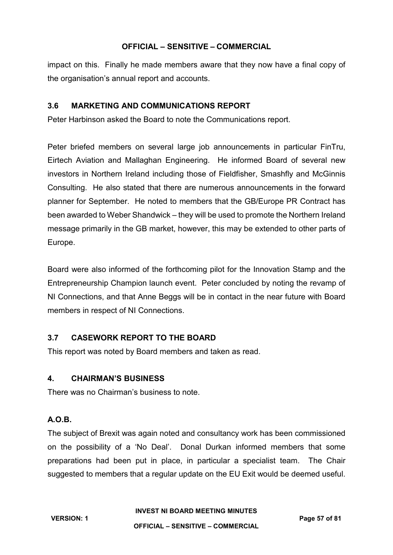impact on this. Finally he made members aware that they now have a final copy of the organisation's annual report and accounts.

# **3.6 MARKETING AND COMMUNICATIONS REPORT**

Peter Harbinson asked the Board to note the Communications report.

Peter briefed members on several large job announcements in particular FinTru, Eirtech Aviation and Mallaghan Engineering. He informed Board of several new investors in Northern Ireland including those of Fieldfisher, Smashfly and McGinnis Consulting. He also stated that there are numerous announcements in the forward planner for September. He noted to members that the GB/Europe PR Contract has been awarded to Weber Shandwick – they will be used to promote the Northern Ireland message primarily in the GB market, however, this may be extended to other parts of Europe.

Board were also informed of the forthcoming pilot for the Innovation Stamp and the Entrepreneurship Champion launch event. Peter concluded by noting the revamp of NI Connections, and that Anne Beggs will be in contact in the near future with Board members in respect of NI Connections.

# **3.7 CASEWORK REPORT TO THE BOARD**

This report was noted by Board members and taken as read.

#### **4. CHAIRMAN'S BUSINESS**

There was no Chairman's business to note.

# **A.O.B.**

The subject of Brexit was again noted and consultancy work has been commissioned on the possibility of a 'No Deal'. Donal Durkan informed members that some preparations had been put in place, in particular a specialist team. The Chair suggested to members that a regular update on the EU Exit would be deemed useful.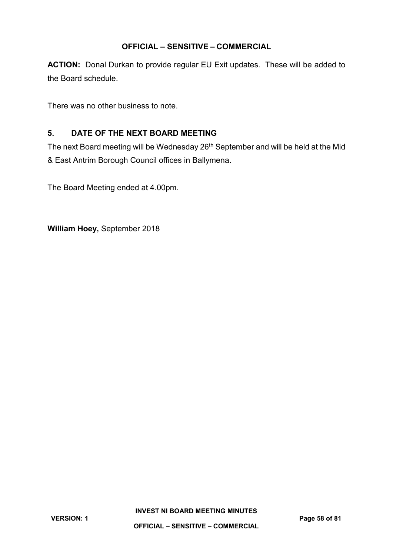**ACTION:** Donal Durkan to provide regular EU Exit updates. These will be added to the Board schedule.

There was no other business to note.

# **5. DATE OF THE NEXT BOARD MEETING**

The next Board meeting will be Wednesday 26<sup>th</sup> September and will be held at the Mid & East Antrim Borough Council offices in Ballymena.

The Board Meeting ended at 4.00pm.

**William Hoey,** September 2018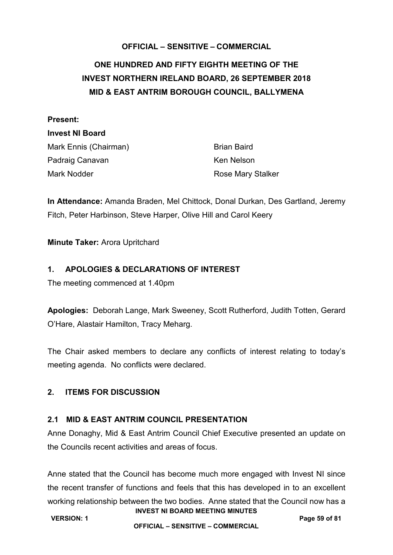# **ONE HUNDRED AND FIFTY EIGHTH MEETING OF THE INVEST NORTHERN IRELAND BOARD, 26 SEPTEMBER 2018 MID & EAST ANTRIM BOROUGH COUNCIL, BALLYMENA**

#### **Present:**

#### **Invest NI Board**

Mark Ennis (Chairman) Brian Baird Padraig Canavan Ken Nelson Mark Nodder **Rose Mary Stalker** Rose Mary Stalker

**In Attendance:** Amanda Braden, Mel Chittock, Donal Durkan, Des Gartland, Jeremy Fitch, Peter Harbinson, Steve Harper, Olive Hill and Carol Keery

**Minute Taker:** Arora Upritchard

# **1. APOLOGIES & DECLARATIONS OF INTEREST**

The meeting commenced at 1.40pm

**Apologies:** Deborah Lange, Mark Sweeney, Scott Rutherford, Judith Totten, Gerard O'Hare, Alastair Hamilton, Tracy Meharg.

The Chair asked members to declare any conflicts of interest relating to today's meeting agenda. No conflicts were declared.

# **2. ITEMS FOR DISCUSSION**

# **2.1 MID & EAST ANTRIM COUNCIL PRESENTATION**

Anne Donaghy, Mid & East Antrim Council Chief Executive presented an update on the Councils recent activities and areas of focus.

**INVEST NI BOARD MEETING MINUTES** Anne stated that the Council has become much more engaged with Invest NI since the recent transfer of functions and feels that this has developed in to an excellent working relationship between the two bodies. Anne stated that the Council now has a

**VERSION: 1 Page 59 of 81 OFFICIAL – SENSITIVE – COMMERCIAL**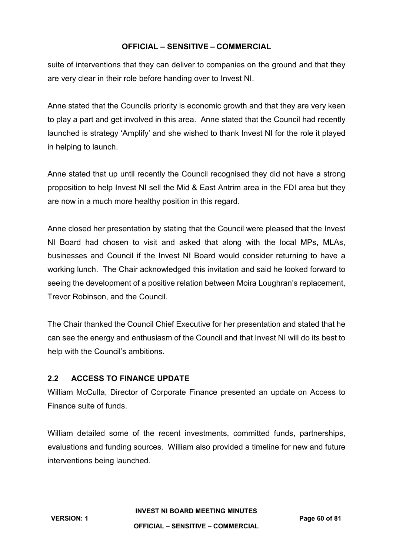suite of interventions that they can deliver to companies on the ground and that they are very clear in their role before handing over to Invest NI.

Anne stated that the Councils priority is economic growth and that they are very keen to play a part and get involved in this area. Anne stated that the Council had recently launched is strategy 'Amplify' and she wished to thank Invest NI for the role it played in helping to launch.

Anne stated that up until recently the Council recognised they did not have a strong proposition to help Invest NI sell the Mid & East Antrim area in the FDI area but they are now in a much more healthy position in this regard.

Anne closed her presentation by stating that the Council were pleased that the Invest NI Board had chosen to visit and asked that along with the local MPs, MLAs, businesses and Council if the Invest NI Board would consider returning to have a working lunch. The Chair acknowledged this invitation and said he looked forward to seeing the development of a positive relation between Moira Loughran's replacement, Trevor Robinson, and the Council.

The Chair thanked the Council Chief Executive for her presentation and stated that he can see the energy and enthusiasm of the Council and that Invest NI will do its best to help with the Council's ambitions.

# **2.2 ACCESS TO FINANCE UPDATE**

William McCulla, Director of Corporate Finance presented an update on Access to Finance suite of funds.

William detailed some of the recent investments, committed funds, partnerships, evaluations and funding sources. William also provided a timeline for new and future interventions being launched.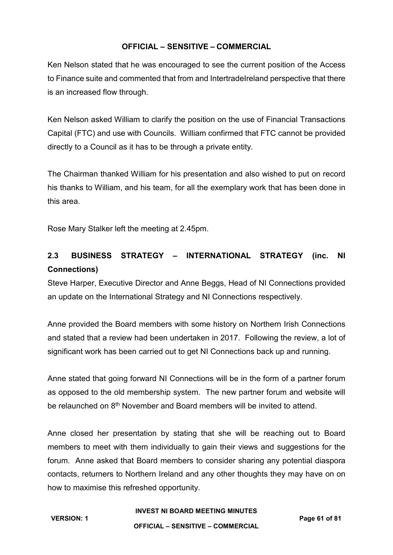Ken Nelson stated that he was encouraged to see the current position of the Access to Finance suite and commented that from and IntertradeIreland perspective that there is an increased flow through.

Ken Nelson asked William to clarify the position on the use of Financial Transactions Capital (FTC) and use with Councils. William confirmed that FTC cannot be provided directly to a Council as it has to be through a private entity.

The Chairman thanked William for his presentation and also wished to put on record his thanks to William, and his team, for all the exemplary work that has been done in this area.

Rose Mary Stalker left the meeting at 2.45pm.

# **2.3 BUSINESS STRATEGY – INTERNATIONAL STRATEGY (inc. NI Connections)**

Steve Harper, Executive Director and Anne Beggs, Head of NI Connections provided an update on the International Strategy and NI Connections respectively.

Anne provided the Board members with some history on Northern Irish Connections and stated that a review had been undertaken in 2017. Following the review, a lot of significant work has been carried out to get NI Connections back up and running.

Anne stated that going forward NI Connections will be in the form of a partner forum as opposed to the old membership system. The new partner forum and website will be relaunched on 8<sup>th</sup> November and Board members will be invited to attend.

Anne closed her presentation by stating that she will be reaching out to Board members to meet with them individually to gain their views and suggestions for the forum. Anne asked that Board members to consider sharing any potential diaspora contacts, returners to Northern Ireland and any other thoughts they may have on on how to maximise this refreshed opportunity.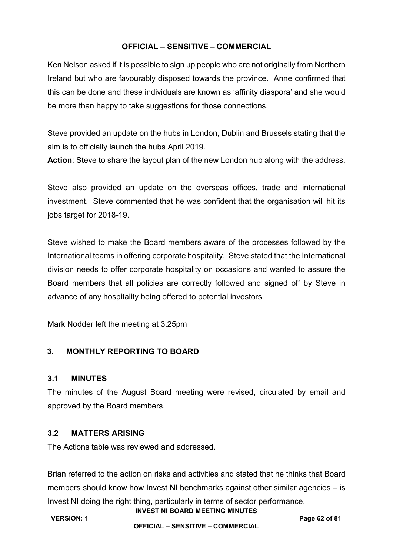Ken Nelson asked if it is possible to sign up people who are not originally from Northern Ireland but who are favourably disposed towards the province. Anne confirmed that this can be done and these individuals are known as 'affinity diaspora' and she would be more than happy to take suggestions for those connections.

Steve provided an update on the hubs in London, Dublin and Brussels stating that the aim is to officially launch the hubs April 2019.

**Action**: Steve to share the layout plan of the new London hub along with the address.

Steve also provided an update on the overseas offices, trade and international investment. Steve commented that he was confident that the organisation will hit its jobs target for 2018-19.

Steve wished to make the Board members aware of the processes followed by the International teams in offering corporate hospitality. Steve stated that the International division needs to offer corporate hospitality on occasions and wanted to assure the Board members that all policies are correctly followed and signed off by Steve in advance of any hospitality being offered to potential investors.

Mark Nodder left the meeting at 3.25pm

# **3. MONTHLY REPORTING TO BOARD**

### **3.1 MINUTES**

The minutes of the August Board meeting were revised, circulated by email and approved by the Board members.

#### **3.2 MATTERS ARISING**

The Actions table was reviewed and addressed.

**INVEST NI BOARD MEETING MINUTES** Brian referred to the action on risks and activities and stated that he thinks that Board members should know how Invest NI benchmarks against other similar agencies – is Invest NI doing the right thing, particularly in terms of sector performance.

**VERSION: 1 Page 62 of 81**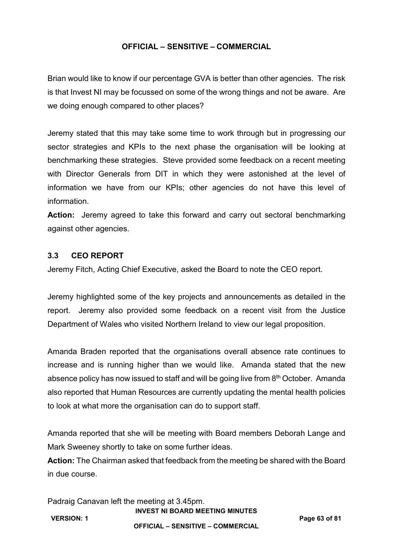Brian would like to know if our percentage GVA is better than other agencies. The risk is that Invest NI may be focussed on some of the wrong things and not be aware. Are we doing enough compared to other places?

Jeremy stated that this may take some time to work through but in progressing our sector strategies and KPIs to the next phase the organisation will be looking at benchmarking these strategies. Steve provided some feedback on a recent meeting with Director Generals from DIT in which they were astonished at the level of information we have from our KPIs; other agencies do not have this level of information.

**Action:** Jeremy agreed to take this forward and carry out sectoral benchmarking against other agencies.

#### **3.3 CEO REPORT**

Jeremy Fitch, Acting Chief Executive, asked the Board to note the CEO report.

Jeremy highlighted some of the key projects and announcements as detailed in the report. Jeremy also provided some feedback on a recent visit from the Justice Department of Wales who visited Northern Ireland to view our legal proposition.

Amanda Braden reported that the organisations overall absence rate continues to increase and is running higher than we would like. Amanda stated that the new absence policy has now issued to staff and will be going live from 8<sup>th</sup> October. Amanda also reported that Human Resources are currently updating the mental health policies to look at what more the organisation can do to support staff.

Amanda reported that she will be meeting with Board members Deborah Lange and Mark Sweeney shortly to take on some further ideas.

**Action:** The Chairman asked that feedback from the meeting be shared with the Board in due course.

**INVEST NI BOARD MEETING MINUTES** Padraig Canavan left the meeting at 3.45pm.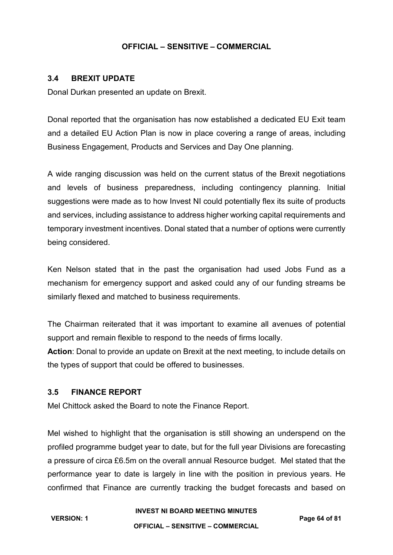#### **3.4 BREXIT UPDATE**

Donal Durkan presented an update on Brexit.

Donal reported that the organisation has now established a dedicated EU Exit team and a detailed EU Action Plan is now in place covering a range of areas, including Business Engagement, Products and Services and Day One planning.

A wide ranging discussion was held on the current status of the Brexit negotiations and levels of business preparedness, including contingency planning. Initial suggestions were made as to how Invest NI could potentially flex its suite of products and services, including assistance to address higher working capital requirements and temporary investment incentives. Donal stated that a number of options were currently being considered.

Ken Nelson stated that in the past the organisation had used Jobs Fund as a mechanism for emergency support and asked could any of our funding streams be similarly flexed and matched to business requirements.

The Chairman reiterated that it was important to examine all avenues of potential support and remain flexible to respond to the needs of firms locally.

**Action**: Donal to provide an update on Brexit at the next meeting, to include details on the types of support that could be offered to businesses.

#### **3.5 FINANCE REPORT**

Mel Chittock asked the Board to note the Finance Report.

Mel wished to highlight that the organisation is still showing an underspend on the profiled programme budget year to date, but for the full year Divisions are forecasting a pressure of circa £6.5m on the overall annual Resource budget. Mel stated that the performance year to date is largely in line with the position in previous years. He confirmed that Finance are currently tracking the budget forecasts and based on

#### **INVEST NI BOARD MEETING MINUTES**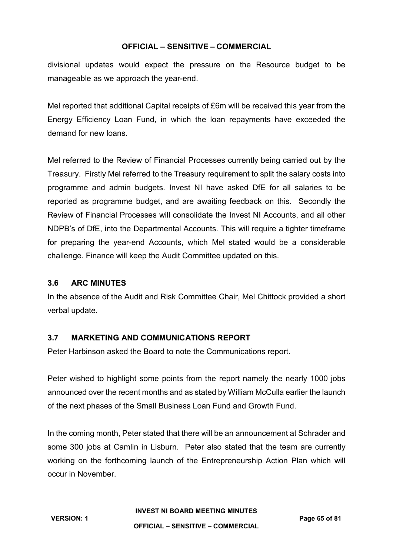divisional updates would expect the pressure on the Resource budget to be manageable as we approach the year-end.

Mel reported that additional Capital receipts of £6m will be received this year from the Energy Efficiency Loan Fund, in which the loan repayments have exceeded the demand for new loans.

Mel referred to the Review of Financial Processes currently being carried out by the Treasury. Firstly Mel referred to the Treasury requirement to split the salary costs into programme and admin budgets. Invest NI have asked DfE for all salaries to be reported as programme budget, and are awaiting feedback on this. Secondly the Review of Financial Processes will consolidate the Invest NI Accounts, and all other NDPB's of DfE, into the Departmental Accounts. This will require a tighter timeframe for preparing the year-end Accounts, which Mel stated would be a considerable challenge. Finance will keep the Audit Committee updated on this.

# **3.6 ARC MINUTES**

In the absence of the Audit and Risk Committee Chair, Mel Chittock provided a short verbal update.

# **3.7 MARKETING AND COMMUNICATIONS REPORT**

Peter Harbinson asked the Board to note the Communications report.

Peter wished to highlight some points from the report namely the nearly 1000 jobs announced over the recent months and as stated by William McCulla earlier the launch of the next phases of the Small Business Loan Fund and Growth Fund.

In the coming month, Peter stated that there will be an announcement at Schrader and some 300 jobs at Camlin in Lisburn. Peter also stated that the team are currently working on the forthcoming launch of the Entrepreneurship Action Plan which will occur in November.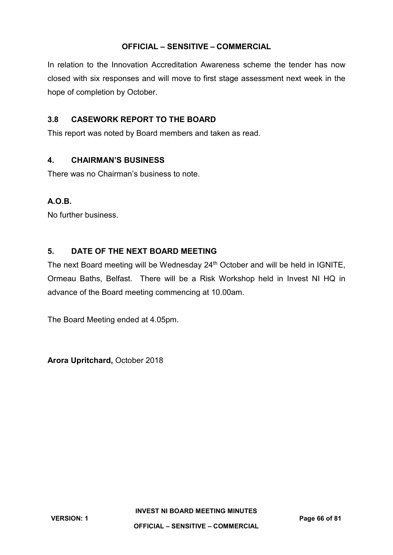In relation to the Innovation Accreditation Awareness scheme the tender has now closed with six responses and will move to first stage assessment next week in the hope of completion by October.

# **3.8 CASEWORK REPORT TO THE BOARD**

This report was noted by Board members and taken as read.

# **4. CHAIRMAN'S BUSINESS**

There was no Chairman's business to note.

# **A.O.B.**

No further business.

# **5. DATE OF THE NEXT BOARD MEETING**

The next Board meeting will be Wednesday 24<sup>th</sup> October and will be held in IGNITE, Ormeau Baths, Belfast. There will be a Risk Workshop held in Invest NI HQ in advance of the Board meeting commencing at 10.00am.

The Board Meeting ended at 4.05pm.

**Arora Upritchard,** October 2018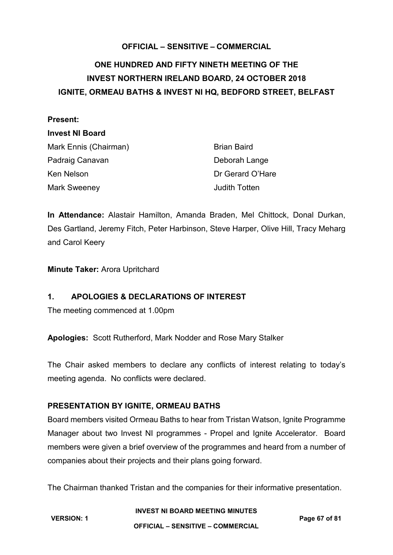# **ONE HUNDRED AND FIFTY NINETH MEETING OF THE INVEST NORTHERN IRELAND BOARD, 24 OCTOBER 2018 IGNITE, ORMEAU BATHS & INVEST NI HQ, BEDFORD STREET, BELFAST**

#### **Present:**

#### **Invest NI Board**

| Mark Ennis (Chairman) | <b>Brian Baird</b>   |
|-----------------------|----------------------|
| Padraig Canavan       | Deborah Lange        |
| Ken Nelson            | Dr Gerard O'Hare     |
| Mark Sweeney          | <b>Judith Totten</b> |

**In Attendance:** Alastair Hamilton, Amanda Braden, Mel Chittock, Donal Durkan, Des Gartland, Jeremy Fitch, Peter Harbinson, Steve Harper, Olive Hill, Tracy Meharg and Carol Keery

**Minute Taker:** Arora Upritchard

# **1. APOLOGIES & DECLARATIONS OF INTEREST**

The meeting commenced at 1.00pm

**Apologies:** Scott Rutherford, Mark Nodder and Rose Mary Stalker

The Chair asked members to declare any conflicts of interest relating to today's meeting agenda. No conflicts were declared.

#### **PRESENTATION BY IGNITE, ORMEAU BATHS**

Board members visited Ormeau Baths to hear from Tristan Watson, Ignite Programme Manager about two Invest NI programmes - Propel and Ignite Accelerator. Board members were given a brief overview of the programmes and heard from a number of companies about their projects and their plans going forward.

The Chairman thanked Tristan and the companies for their informative presentation.

#### **INVEST NI BOARD MEETING MINUTES**

**VERSION: 1 Page 67 of 81**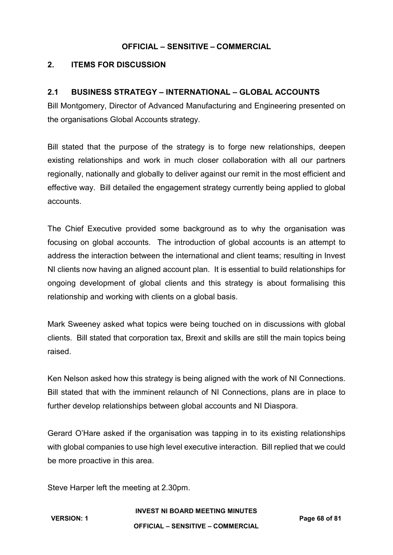# **2. ITEMS FOR DISCUSSION**

# **2.1 BUSINESS STRATEGY – INTERNATIONAL – GLOBAL ACCOUNTS**

Bill Montgomery, Director of Advanced Manufacturing and Engineering presented on the organisations Global Accounts strategy.

Bill stated that the purpose of the strategy is to forge new relationships, deepen existing relationships and work in much closer collaboration with all our partners regionally, nationally and globally to deliver against our remit in the most efficient and effective way. Bill detailed the engagement strategy currently being applied to global accounts.

The Chief Executive provided some background as to why the organisation was focusing on global accounts. The introduction of global accounts is an attempt to address the interaction between the international and client teams; resulting in Invest NI clients now having an aligned account plan. It is essential to build relationships for ongoing development of global clients and this strategy is about formalising this relationship and working with clients on a global basis.

Mark Sweeney asked what topics were being touched on in discussions with global clients. Bill stated that corporation tax, Brexit and skills are still the main topics being raised.

Ken Nelson asked how this strategy is being aligned with the work of NI Connections. Bill stated that with the imminent relaunch of NI Connections, plans are in place to further develop relationships between global accounts and NI Diaspora.

Gerard O'Hare asked if the organisation was tapping in to its existing relationships with global companies to use high level executive interaction. Bill replied that we could be more proactive in this area.

Steve Harper left the meeting at 2.30pm.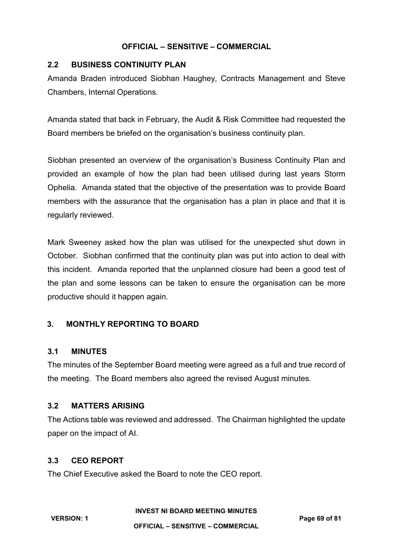## **2.2 BUSINESS CONTINUITY PLAN**

Amanda Braden introduced Siobhan Haughey, Contracts Management and Steve Chambers, Internal Operations.

Amanda stated that back in February, the Audit & Risk Committee had requested the Board members be briefed on the organisation's business continuity plan.

Siobhan presented an overview of the organisation's Business Continuity Plan and provided an example of how the plan had been utilised during last years Storm Ophelia. Amanda stated that the objective of the presentation was to provide Board members with the assurance that the organisation has a plan in place and that it is regularly reviewed.

Mark Sweeney asked how the plan was utilised for the unexpected shut down in October. Siobhan confirmed that the continuity plan was put into action to deal with this incident. Amanda reported that the unplanned closure had been a good test of the plan and some lessons can be taken to ensure the organisation can be more productive should it happen again.

# **3. MONTHLY REPORTING TO BOARD**

#### **3.1 MINUTES**

The minutes of the September Board meeting were agreed as a full and true record of the meeting. The Board members also agreed the revised August minutes.

#### **3.2 MATTERS ARISING**

The Actions table was reviewed and addressed. The Chairman highlighted the update paper on the impact of AI.

### **3.3 CEO REPORT**

The Chief Executive asked the Board to note the CEO report.

**INVEST NI BOARD MEETING MINUTES**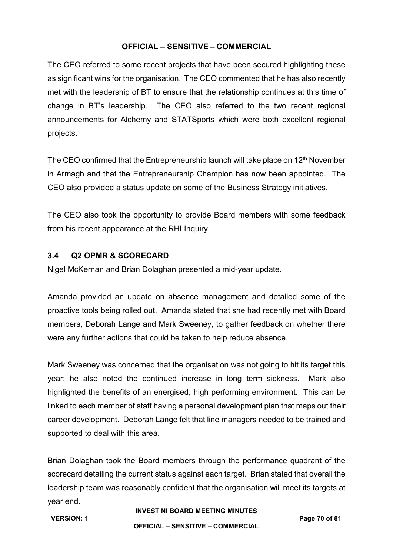The CEO referred to some recent projects that have been secured highlighting these as significant wins for the organisation. The CEO commented that he has also recently met with the leadership of BT to ensure that the relationship continues at this time of change in BT's leadership. The CEO also referred to the two recent regional announcements for Alchemy and STATSports which were both excellent regional projects.

The CEO confirmed that the Entrepreneurship launch will take place on 12<sup>th</sup> November in Armagh and that the Entrepreneurship Champion has now been appointed. The CEO also provided a status update on some of the Business Strategy initiatives.

The CEO also took the opportunity to provide Board members with some feedback from his recent appearance at the RHI Inquiry.

#### **3.4 Q2 OPMR & SCORECARD**

Nigel McKernan and Brian Dolaghan presented a mid-year update.

Amanda provided an update on absence management and detailed some of the proactive tools being rolled out. Amanda stated that she had recently met with Board members, Deborah Lange and Mark Sweeney, to gather feedback on whether there were any further actions that could be taken to help reduce absence.

Mark Sweeney was concerned that the organisation was not going to hit its target this year; he also noted the continued increase in long term sickness. Mark also highlighted the benefits of an energised, high performing environment. This can be linked to each member of staff having a personal development plan that maps out their career development. Deborah Lange felt that line managers needed to be trained and supported to deal with this area.

Brian Dolaghan took the Board members through the performance quadrant of the scorecard detailing the current status against each target. Brian stated that overall the leadership team was reasonably confident that the organisation will meet its targets at year end.

#### **INVEST NI BOARD MEETING MINUTES**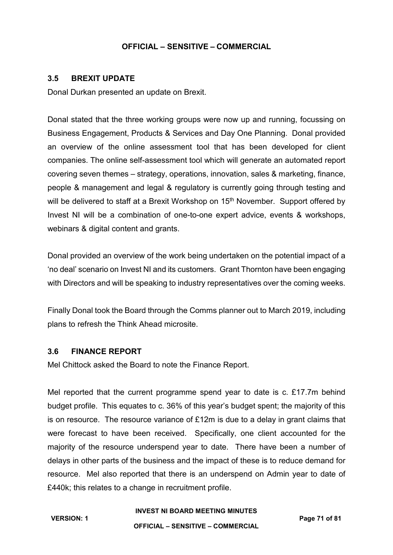#### **3.5 BREXIT UPDATE**

Donal Durkan presented an update on Brexit.

Donal stated that the three working groups were now up and running, focussing on Business Engagement, Products & Services and Day One Planning. Donal provided an overview of the online assessment tool that has been developed for client companies. The online self-assessment tool which will generate an automated report covering seven themes – strategy, operations, innovation, sales & marketing, finance, people & management and legal & regulatory is currently going through testing and will be delivered to staff at a Brexit Workshop on 15<sup>th</sup> November. Support offered by Invest NI will be a combination of one-to-one expert advice, events & workshops, webinars & digital content and grants.

Donal provided an overview of the work being undertaken on the potential impact of a 'no deal' scenario on Invest NI and its customers. Grant Thornton have been engaging with Directors and will be speaking to industry representatives over the coming weeks.

Finally Donal took the Board through the Comms planner out to March 2019, including plans to refresh the Think Ahead microsite.

#### **3.6 FINANCE REPORT**

Mel Chittock asked the Board to note the Finance Report.

Mel reported that the current programme spend year to date is c. £17.7m behind budget profile. This equates to c. 36% of this year's budget spent; the majority of this is on resource. The resource variance of £12m is due to a delay in grant claims that were forecast to have been received. Specifically, one client accounted for the majority of the resource underspend year to date. There have been a number of delays in other parts of the business and the impact of these is to reduce demand for resource. Mel also reported that there is an underspend on Admin year to date of £440k; this relates to a change in recruitment profile.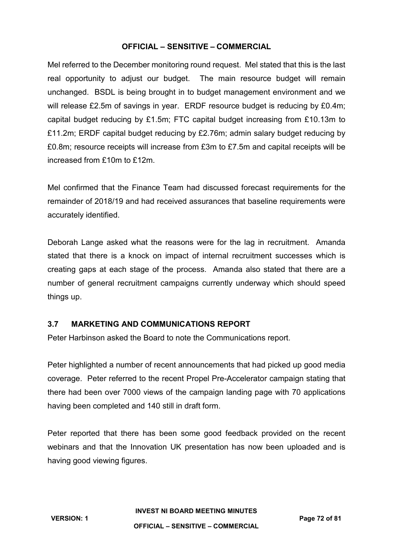Mel referred to the December monitoring round request. Mel stated that this is the last real opportunity to adjust our budget. The main resource budget will remain unchanged. BSDL is being brought in to budget management environment and we will release £2.5m of savings in year. ERDF resource budget is reducing by £0.4m; capital budget reducing by £1.5m; FTC capital budget increasing from £10.13m to £11.2m; ERDF capital budget reducing by £2.76m; admin salary budget reducing by £0.8m; resource receipts will increase from £3m to £7.5m and capital receipts will be increased from £10m to £12m.

Mel confirmed that the Finance Team had discussed forecast requirements for the remainder of 2018/19 and had received assurances that baseline requirements were accurately identified.

Deborah Lange asked what the reasons were for the lag in recruitment. Amanda stated that there is a knock on impact of internal recruitment successes which is creating gaps at each stage of the process. Amanda also stated that there are a number of general recruitment campaigns currently underway which should speed things up.

# **3.7 MARKETING AND COMMUNICATIONS REPORT**

Peter Harbinson asked the Board to note the Communications report.

Peter highlighted a number of recent announcements that had picked up good media coverage. Peter referred to the recent Propel Pre-Accelerator campaign stating that there had been over 7000 views of the campaign landing page with 70 applications having been completed and 140 still in draft form.

Peter reported that there has been some good feedback provided on the recent webinars and that the Innovation UK presentation has now been uploaded and is having good viewing figures.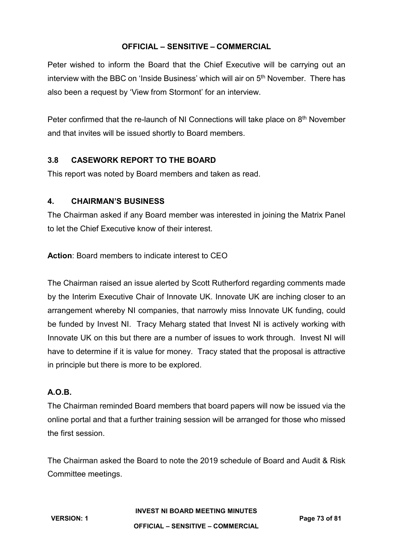Peter wished to inform the Board that the Chief Executive will be carrying out an interview with the BBC on 'Inside Business' which will air on  $5<sup>th</sup>$  November. There has also been a request by 'View from Stormont' for an interview.

Peter confirmed that the re-launch of NI Connections will take place on 8<sup>th</sup> November and that invites will be issued shortly to Board members.

# **3.8 CASEWORK REPORT TO THE BOARD**

This report was noted by Board members and taken as read.

#### **4. CHAIRMAN'S BUSINESS**

The Chairman asked if any Board member was interested in joining the Matrix Panel to let the Chief Executive know of their interest.

**Action**: Board members to indicate interest to CEO

The Chairman raised an issue alerted by Scott Rutherford regarding comments made by the Interim Executive Chair of Innovate UK. Innovate UK are inching closer to an arrangement whereby NI companies, that narrowly miss Innovate UK funding, could be funded by Invest NI. Tracy Meharg stated that Invest NI is actively working with Innovate UK on this but there are a number of issues to work through. Invest NI will have to determine if it is value for money. Tracy stated that the proposal is attractive in principle but there is more to be explored.

#### **A.O.B.**

The Chairman reminded Board members that board papers will now be issued via the online portal and that a further training session will be arranged for those who missed the first session.

The Chairman asked the Board to note the 2019 schedule of Board and Audit & Risk Committee meetings.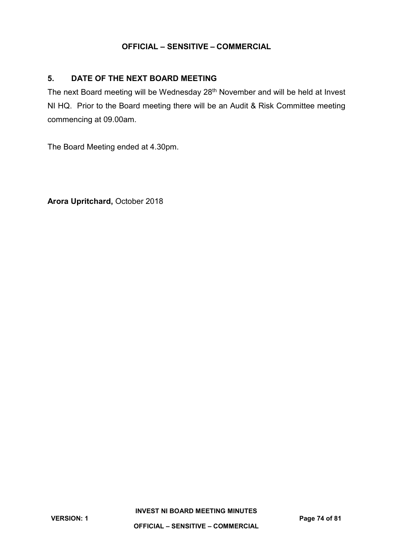# **5. DATE OF THE NEXT BOARD MEETING**

The next Board meeting will be Wednesday 28<sup>th</sup> November and will be held at Invest NI HQ. Prior to the Board meeting there will be an Audit & Risk Committee meeting commencing at 09.00am.

The Board Meeting ended at 4.30pm.

**Arora Upritchard,** October 2018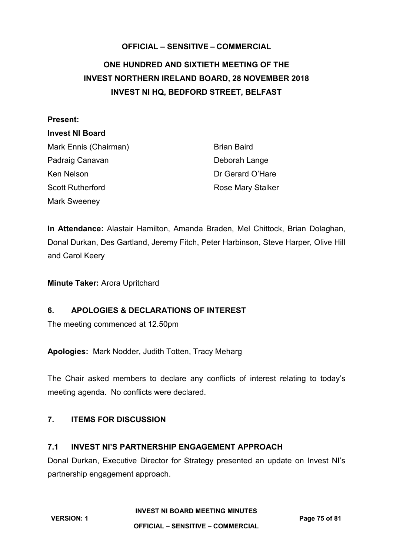# **OFFICIAL – SENSITIVE – COMMERCIAL ONE HUNDRED AND SIXTIETH MEETING OF THE INVEST NORTHERN IRELAND BOARD, 28 NOVEMBER 2018 INVEST NI HQ, BEDFORD STREET, BELFAST**

#### **Present:**

#### **Invest NI Board**

Mark Ennis (Chairman) Brian Baird Padraig Canavan Deborah Lange Ken Nelson **Dr Gerard O'Hare** Scott Rutherford **Rose Mary Stalker** Rose Mary Stalker Mark Sweeney

**In Attendance:** Alastair Hamilton, Amanda Braden, Mel Chittock, Brian Dolaghan, Donal Durkan, Des Gartland, Jeremy Fitch, Peter Harbinson, Steve Harper, Olive Hill and Carol Keery

**Minute Taker:** Arora Upritchard

# **6. APOLOGIES & DECLARATIONS OF INTEREST**

The meeting commenced at 12.50pm

**Apologies:** Mark Nodder, Judith Totten, Tracy Meharg

The Chair asked members to declare any conflicts of interest relating to today's meeting agenda. No conflicts were declared.

# **7. ITEMS FOR DISCUSSION**

# **7.1 INVEST NI'S PARTNERSHIP ENGAGEMENT APPROACH**

Donal Durkan, Executive Director for Strategy presented an update on Invest NI's partnership engagement approach.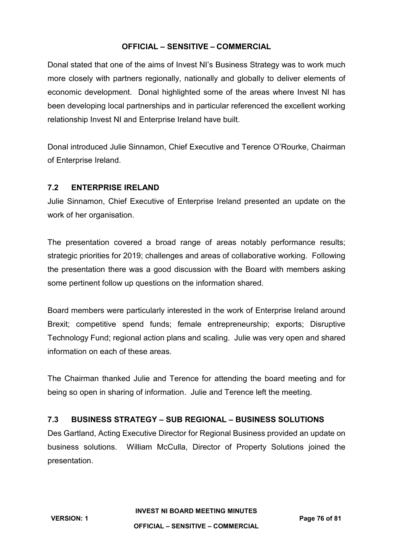Donal stated that one of the aims of Invest NI's Business Strategy was to work much more closely with partners regionally, nationally and globally to deliver elements of economic development. Donal highlighted some of the areas where Invest NI has been developing local partnerships and in particular referenced the excellent working relationship Invest NI and Enterprise Ireland have built.

Donal introduced Julie Sinnamon, Chief Executive and Terence O'Rourke, Chairman of Enterprise Ireland.

## **7.2 ENTERPRISE IRELAND**

Julie Sinnamon, Chief Executive of Enterprise Ireland presented an update on the work of her organisation.

The presentation covered a broad range of areas notably performance results; strategic priorities for 2019; challenges and areas of collaborative working. Following the presentation there was a good discussion with the Board with members asking some pertinent follow up questions on the information shared.

Board members were particularly interested in the work of Enterprise Ireland around Brexit; competitive spend funds; female entrepreneurship; exports; Disruptive Technology Fund; regional action plans and scaling. Julie was very open and shared information on each of these areas.

The Chairman thanked Julie and Terence for attending the board meeting and for being so open in sharing of information. Julie and Terence left the meeting.

# **7.3 BUSINESS STRATEGY – SUB REGIONAL – BUSINESS SOLUTIONS**

Des Gartland, Acting Executive Director for Regional Business provided an update on business solutions. William McCulla, Director of Property Solutions joined the presentation.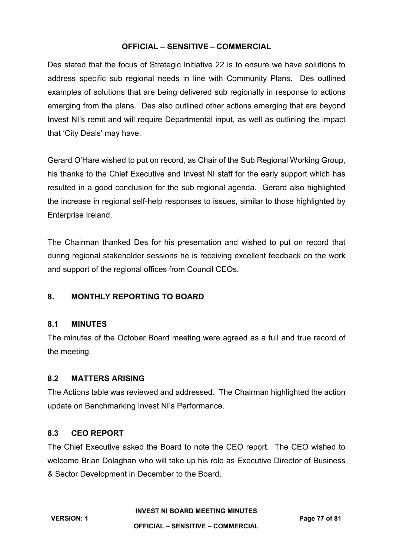Des stated that the focus of Strategic Initiative 22 is to ensure we have solutions to address specific sub regional needs in line with Community Plans. Des outlined examples of solutions that are being delivered sub regionally in response to actions emerging from the plans. Des also outlined other actions emerging that are beyond Invest NI's remit and will require Departmental input, as well as outlining the impact that 'City Deals' may have.

Gerard O'Hare wished to put on record, as Chair of the Sub Regional Working Group, his thanks to the Chief Executive and Invest NI staff for the early support which has resulted in a good conclusion for the sub regional agenda. Gerard also highlighted the increase in regional self-help responses to issues, similar to those highlighted by Enterprise Ireland.

The Chairman thanked Des for his presentation and wished to put on record that during regional stakeholder sessions he is receiving excellent feedback on the work and support of the regional offices from Council CEOs.

# **8. MONTHLY REPORTING TO BOARD**

#### **8.1 MINUTES**

The minutes of the October Board meeting were agreed as a full and true record of the meeting.

# **8.2 MATTERS ARISING**

The Actions table was reviewed and addressed. The Chairman highlighted the action update on Benchmarking Invest NI's Performance.

#### **8.3 CEO REPORT**

The Chief Executive asked the Board to note the CEO report. The CEO wished to welcome Brian Dolaghan who will take up his role as Executive Director of Business & Sector Development in December to the Board.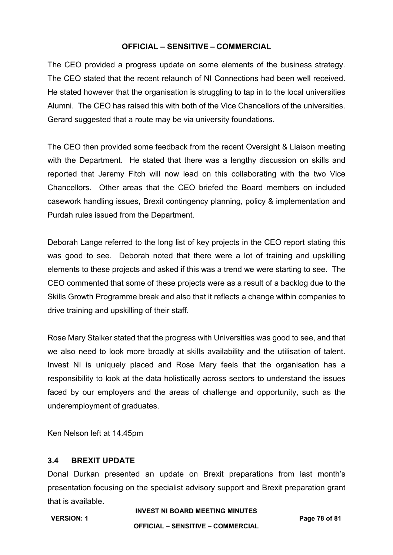The CEO provided a progress update on some elements of the business strategy. The CEO stated that the recent relaunch of NI Connections had been well received. He stated however that the organisation is struggling to tap in to the local universities Alumni. The CEO has raised this with both of the Vice Chancellors of the universities. Gerard suggested that a route may be via university foundations.

The CEO then provided some feedback from the recent Oversight & Liaison meeting with the Department. He stated that there was a lengthy discussion on skills and reported that Jeremy Fitch will now lead on this collaborating with the two Vice Chancellors. Other areas that the CEO briefed the Board members on included casework handling issues, Brexit contingency planning, policy & implementation and Purdah rules issued from the Department.

Deborah Lange referred to the long list of key projects in the CEO report stating this was good to see. Deborah noted that there were a lot of training and upskilling elements to these projects and asked if this was a trend we were starting to see. The CEO commented that some of these projects were as a result of a backlog due to the Skills Growth Programme break and also that it reflects a change within companies to drive training and upskilling of their staff.

Rose Mary Stalker stated that the progress with Universities was good to see, and that we also need to look more broadly at skills availability and the utilisation of talent. Invest NI is uniquely placed and Rose Mary feels that the organisation has a responsibility to look at the data holistically across sectors to understand the issues faced by our employers and the areas of challenge and opportunity, such as the underemployment of graduates.

Ken Nelson left at 14.45pm

# **3.4 BREXIT UPDATE**

Donal Durkan presented an update on Brexit preparations from last month's presentation focusing on the specialist advisory support and Brexit preparation grant that is available.

**INVEST NI BOARD MEETING MINUTES**

**OFFICIAL – SENSITIVE – COMMERCIAL**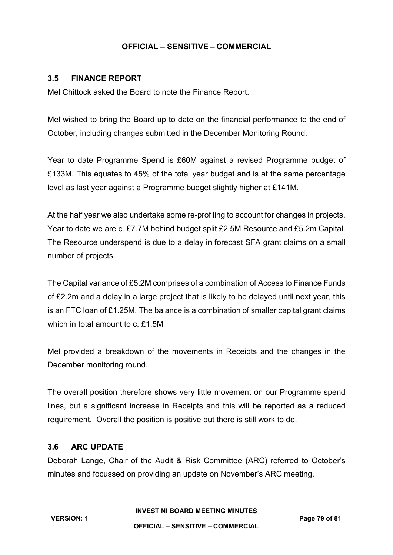#### **3.5 FINANCE REPORT**

Mel Chittock asked the Board to note the Finance Report.

Mel wished to bring the Board up to date on the financial performance to the end of October, including changes submitted in the December Monitoring Round.

Year to date Programme Spend is £60M against a revised Programme budget of £133M. This equates to 45% of the total year budget and is at the same percentage level as last year against a Programme budget slightly higher at £141M.

At the half year we also undertake some re-profiling to account for changes in projects. Year to date we are c. £7.7M behind budget split £2.5M Resource and £5.2m Capital. The Resource underspend is due to a delay in forecast SFA grant claims on a small number of projects.

The Capital variance of £5.2M comprises of a combination of Access to Finance Funds of £2.2m and a delay in a large project that is likely to be delayed until next year, this is an FTC loan of £1.25M. The balance is a combination of smaller capital grant claims which in total amount to c. £1.5M

Mel provided a breakdown of the movements in Receipts and the changes in the December monitoring round.

The overall position therefore shows very little movement on our Programme spend lines, but a significant increase in Receipts and this will be reported as a reduced requirement. Overall the position is positive but there is still work to do.

## **3.6 ARC UPDATE**

Deborah Lange, Chair of the Audit & Risk Committee (ARC) referred to October's minutes and focussed on providing an update on November's ARC meeting.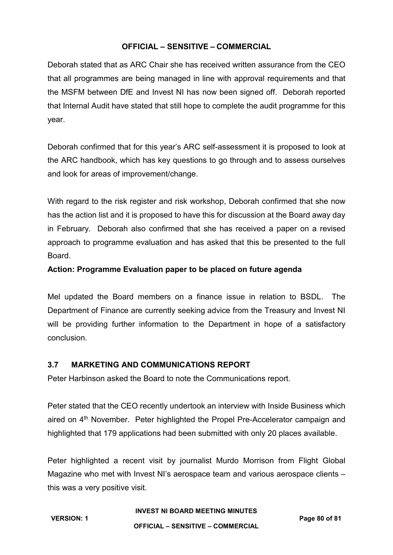Deborah stated that as ARC Chair she has received written assurance from the CEO that all programmes are being managed in line with approval requirements and that the MSFM between DfE and Invest NI has now been signed off. Deborah reported that Internal Audit have stated that still hope to complete the audit programme for this year.

Deborah confirmed that for this year's ARC self-assessment it is proposed to look at the ARC handbook, which has key questions to go through and to assess ourselves and look for areas of improvement/change.

With regard to the risk register and risk workshop, Deborah confirmed that she now has the action list and it is proposed to have this for discussion at the Board away day in February. Deborah also confirmed that she has received a paper on a revised approach to programme evaluation and has asked that this be presented to the full Board.

#### **Action: Programme Evaluation paper to be placed on future agenda**

Mel updated the Board members on a finance issue in relation to BSDL. The Department of Finance are currently seeking advice from the Treasury and Invest NI will be providing further information to the Department in hope of a satisfactory conclusion.

# **3.7 MARKETING AND COMMUNICATIONS REPORT**

Peter Harbinson asked the Board to note the Communications report.

Peter stated that the CEO recently undertook an interview with Inside Business which aired on 4<sup>th</sup> November. Peter highlighted the Propel Pre-Accelerator campaign and highlighted that 179 applications had been submitted with only 20 places available.

Peter highlighted a recent visit by journalist Murdo Morrison from Flight Global Magazine who met with Invest NI's aerospace team and various aerospace clients – this was a very positive visit.